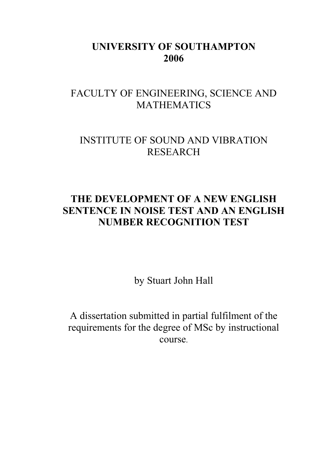# UNIVERSITY OF SOUTHAMPTON 2006

# FACULTY OF ENGINEERING, SCIENCE AND MATHEMATICS

# INSTITUTE OF SOUND AND VIBRATION RESEARCH

# THE DEVELOPMENT OF A NEW ENGLISH SENTENCE IN NOISE TEST AND AN ENGLISH NUMBER RECOGNITION TEST

by Stuart John Hall

A dissertation submitted in partial fulfilment of the requirements for the degree of MSc by instructional course.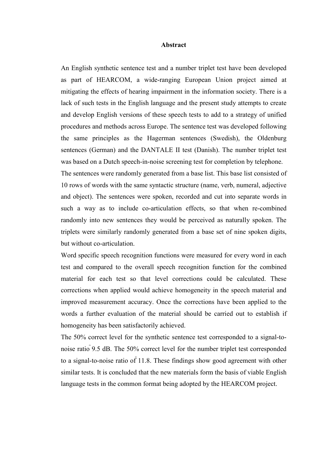#### Abstract

An English synthetic sentence test and a number triplet test have been developed as part of HEARCOM, a wide-ranging European Union project aimed at mitigating the effects of hearing impairment in the information society. There is a lack of such tests in the English language and the present study attempts to create and develop English versions of these speech tests to add to a strategy of unified procedures and methods across Europe. The sentence test was developed following the same principles as the Hagerman sentences (Swedish), the Oldenburg sentences (German) and the DANTALE II test (Danish). The number triplet test was based on a Dutch speech-in-noise screening test for completion by telephone. The sentences were randomly generated from a base list. This base list consisted of

10 rows of words with the same syntactic structure (name, verb, numeral, adjective and object). The sentences were spoken, recorded and cut into separate words in such a way as to include co-articulation effects, so that when re-combined randomly into new sentences they would be perceived as naturally spoken. The triplets were similarly randomly generated from a base set of nine spoken digits, but without co-articulation.

Word specific speech recognition functions were measured for every word in each test and compared to the overall speech recognition function for the combined material for each test so that level corrections could be calculated. These corrections when applied would achieve homogeneity in the speech material and improved measurement accuracy. Once the corrections have been applied to the words a further evaluation of the material should be carried out to establish if homogeneity has been satisfactorily achieved.

The 50% correct level for the synthetic sentence test corresponded to a signal-tonoise ratio  $9.5$  dB. The  $50\%$  correct level for the number triplet test corresponded to a signal-to-noise ratio of  $11.8$ . These findings show good agreement with other similar tests. It is concluded that the new materials form the basis of viable English language tests in the common format being adopted by the HEARCOM project.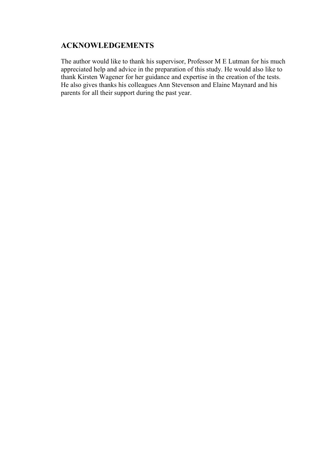# ACKNOWLEDGEMENTS

The author would like to thank his supervisor, Professor M E Lutman for his much appreciated help and advice in the preparation of this study. He would also like to thank Kirsten Wagener for her guidance and expertise in the creation of the tests. He also gives thanks his colleagues Ann Stevenson and Elaine Maynard and his parents for all their support during the past year.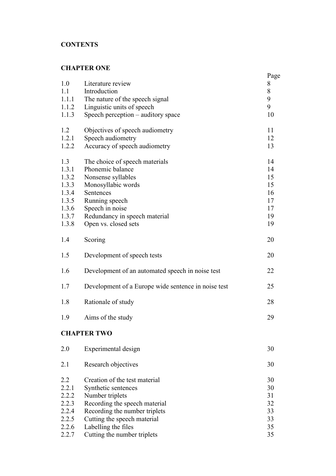# **CONTENTS**

# CHAPTER ONE

| 1.0<br>1.1<br>1.1.1<br>1.1.2<br>1.1.3                                       | Literature review<br>Introduction<br>The nature of the speech signal<br>Linguistic units of speech<br>Speech perception - auditory space                                                                  | Page<br>8<br>8<br>9<br>9<br>10                     |
|-----------------------------------------------------------------------------|-----------------------------------------------------------------------------------------------------------------------------------------------------------------------------------------------------------|----------------------------------------------------|
| 1.2<br>1.2.1<br>1.2.2                                                       | Objectives of speech audiometry<br>Speech audiometry<br>Accuracy of speech audiometry                                                                                                                     | 11<br>12<br>13                                     |
| 1.3<br>1.3.1<br>1.3.2<br>1.3.3<br>1.3.4<br>1.3.5<br>1.3.6<br>1.3.7<br>1.3.8 | The choice of speech materials<br>Phonemic balance<br>Nonsense syllables<br>Monosyllabic words<br>Sentences<br>Running speech<br>Speech in noise<br>Redundancy in speech material<br>Open vs. closed sets | 14<br>14<br>15<br>15<br>16<br>17<br>17<br>19<br>19 |
| 1.4                                                                         | Scoring                                                                                                                                                                                                   | 20                                                 |
| 1.5                                                                         | Development of speech tests                                                                                                                                                                               | 20                                                 |
| 1.6                                                                         | Development of an automated speech in noise test                                                                                                                                                          | 22                                                 |
| 1.7                                                                         | Development of a Europe wide sentence in noise test                                                                                                                                                       | 25                                                 |
| 1.8                                                                         | Rationale of study                                                                                                                                                                                        | 28                                                 |
| 1.9                                                                         | Aims of the study                                                                                                                                                                                         | 29                                                 |
|                                                                             | <b>CHAPTER TWO</b>                                                                                                                                                                                        |                                                    |
| 2.0                                                                         | Experimental design                                                                                                                                                                                       | 30                                                 |
| 2.1                                                                         | Research objectives                                                                                                                                                                                       | 30                                                 |
| 2.2<br>2.2.1<br>2.2.2<br>2.2.3<br>2.2.4<br>2.2.5<br>2.2.6                   | Creation of the test material<br>Synthetic sentences<br>Number triplets<br>Recording the speech material<br>Recording the number triplets<br>Cutting the speech material<br>Labelling the files           | 30<br>30<br>31<br>32<br>33<br>33<br>35             |
| 2.2.7                                                                       | Cutting the number triplets                                                                                                                                                                               | 35                                                 |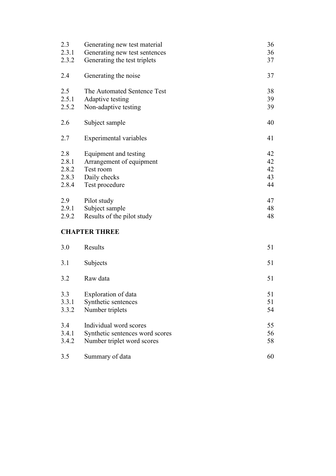| 2.3<br>2.3.1<br>2.3.2                   | Generating new test material<br>Generating new test sentences<br>Generating the test triplets    | 36<br>36<br>37             |
|-----------------------------------------|--------------------------------------------------------------------------------------------------|----------------------------|
| 2.4                                     | Generating the noise                                                                             | 37                         |
| 2.5<br>2.5.1<br>2.5.2                   | The Automated Sentence Test<br>Adaptive testing<br>Non-adaptive testing                          | 38<br>39<br>39             |
| 2.6                                     | Subject sample                                                                                   | 40                         |
| 2.7                                     | Experimental variables                                                                           | 41                         |
| 2.8<br>2.8.1<br>2.8.2<br>2.8.3<br>2.8.4 | Equipment and testing<br>Arrangement of equipment<br>Test room<br>Daily checks<br>Test procedure | 42<br>42<br>42<br>43<br>44 |
| 2.9<br>2.9.1<br>2.9.2                   | Pilot study<br>Subject sample<br>Results of the pilot study                                      | 47<br>48<br>48             |
|                                         | <b>CHAPTER THREE</b>                                                                             |                            |
| 3.0                                     | Results                                                                                          | 51                         |
| 3.1                                     | Subjects                                                                                         | 51                         |
| 3.2                                     | Raw data                                                                                         | 51                         |
| 3.3<br>3.3.1<br>3.3.2                   | Exploration of data<br>Synthetic sentences<br>Number triplets                                    | 51<br>51<br>54             |
| 3.4<br>3.4.1<br>3.4.2                   | Individual word scores<br>Synthetic sentences word scores<br>Number triplet word scores          | 55<br>56<br>58             |

3.5 Summary of data 60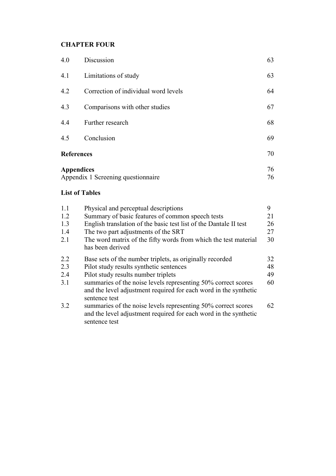# CHAPTER FOUR

| 4.0                                                     | Discussion                           | 63 |
|---------------------------------------------------------|--------------------------------------|----|
| 4.1                                                     | Limitations of study                 | 63 |
| 4.2                                                     | Correction of individual word levels | 64 |
| 4.3                                                     | Comparisons with other studies       | 67 |
| 4.4                                                     | Further research                     | 68 |
| 4.5                                                     | Conclusion                           |    |
| <b>References</b>                                       |                                      | 70 |
| <b>Appendices</b><br>Appendix 1 Screening questionnaire |                                      | 76 |
|                                                         | 76                                   |    |

# List of Tables

| 1.1 | Physical and perceptual descriptions                                                                                                               | 9  |
|-----|----------------------------------------------------------------------------------------------------------------------------------------------------|----|
| 1.2 | Summary of basic features of common speech tests                                                                                                   | 21 |
| 1.3 | English translation of the basic test list of the Dantale II test                                                                                  | 26 |
| 1.4 | The two part adjustments of the SRT                                                                                                                | 27 |
| 2.1 | The word matrix of the fifty words from which the test material<br>has been derived                                                                | 30 |
| 2.2 | Base sets of the number triplets, as originally recorded                                                                                           | 32 |
| 2.3 | Pilot study results synthetic sentences                                                                                                            | 48 |
| 2.4 | Pilot study results number triplets                                                                                                                | 49 |
| 3.1 | summaries of the noise levels representing 50% correct scores<br>and the level adjustment required for each word in the synthetic<br>sentence test | 60 |
| 3.2 | summaries of the noise levels representing 50% correct scores<br>and the level adjustment required for each word in the synthetic<br>sentence test | 62 |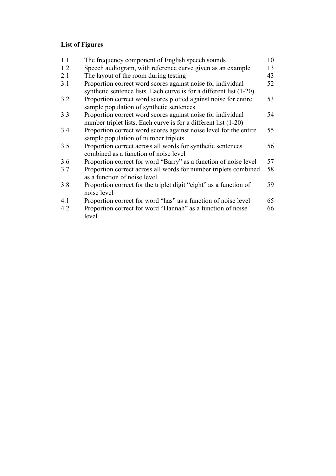# List of Figures

| 1.1 | The frequency component of English speech sounds                                                            | 10 |
|-----|-------------------------------------------------------------------------------------------------------------|----|
| 1.2 | Speech audiogram, with reference curve given as an example                                                  | 13 |
| 2.1 | The layout of the room during testing                                                                       | 43 |
| 3.1 | Proportion correct word scores against noise for individual                                                 | 52 |
|     | synthetic sentence lists. Each curve is for a different list (1-20)                                         |    |
| 3.2 | Proportion correct word scores plotted against noise for entire<br>sample population of synthetic sentences | 53 |
| 3.3 | Proportion correct word scores against noise for individual                                                 | 54 |
|     | number triplet lists. Each curve is for a different list (1-20)                                             |    |
| 3.4 | Proportion correct word scores against noise level for the entire<br>sample population of number triplets   | 55 |
| 3.5 | Proportion correct across all words for synthetic sentences<br>combined as a function of noise level        | 56 |
| 3.6 | Proportion correct for word "Barry" as a function of noise level                                            | 57 |
| 3.7 | Proportion correct across all words for number triplets combined<br>as a function of noise level            | 58 |
| 3.8 | Proportion correct for the triplet digit "eight" as a function of<br>noise level                            | 59 |
| 4.1 | Proportion correct for word "has" as a function of noise level                                              | 65 |
| 4.2 | Proportion correct for word "Hannah" as a function of noise<br>level                                        | 66 |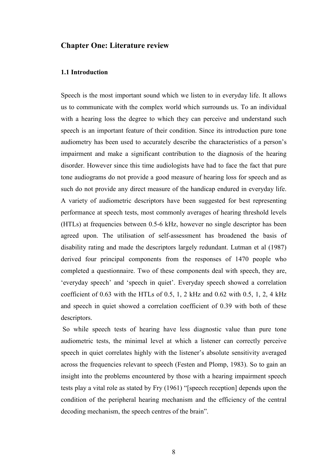## Chapter One: Literature review

## 1.1 Introduction

Speech is the most important sound which we listen to in everyday life. It allows us to communicate with the complex world which surrounds us. To an individual with a hearing loss the degree to which they can perceive and understand such speech is an important feature of their condition. Since its introduction pure tone audiometry has been used to accurately describe the characteristics of a person's impairment and make a significant contribution to the diagnosis of the hearing disorder. However since this time audiologists have had to face the fact that pure tone audiograms do not provide a good measure of hearing loss for speech and as such do not provide any direct measure of the handicap endured in everyday life. A variety of audiometric descriptors have been suggested for best representing performance at speech tests, most commonly averages of hearing threshold levels (HTLs) at frequencies between 0.5-6 kHz, however no single descriptor has been agreed upon. The utilisation of self-assessment has broadened the basis of disability rating and made the descriptors largely redundant. Lutman et al (1987) derived four principal components from the responses of 1470 people who completed a questionnaire. Two of these components deal with speech, they are, 'everyday speech' and 'speech in quiet'. Everyday speech showed a correlation coefficient of  $0.63$  with the HTLs of  $0.5$ , 1, 2 kHz and  $0.62$  with  $0.5$ , 1, 2, 4 kHz and speech in quiet showed a correlation coefficient of 0.39 with both of these descriptors.

 So while speech tests of hearing have less diagnostic value than pure tone audiometric tests, the minimal level at which a listener can correctly perceive speech in quiet correlates highly with the listener's absolute sensitivity averaged across the frequencies relevant to speech (Festen and Plomp, 1983). So to gain an insight into the problems encountered by those with a hearing impairment speech tests play a vital role as stated by Fry (1961) "[speech reception] depends upon the condition of the peripheral hearing mechanism and the efficiency of the central decoding mechanism, the speech centres of the brain".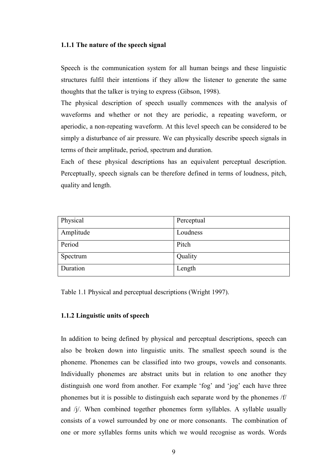### 1.1.1 The nature of the speech signal

Speech is the communication system for all human beings and these linguistic structures fulfil their intentions if they allow the listener to generate the same thoughts that the talker is trying to express (Gibson, 1998).

The physical description of speech usually commences with the analysis of waveforms and whether or not they are periodic, a repeating waveform, or aperiodic, a non-repeating waveform. At this level speech can be considered to be simply a disturbance of air pressure. We can physically describe speech signals in terms of their amplitude, period, spectrum and duration.

Each of these physical descriptions has an equivalent perceptual description. Perceptually, speech signals can be therefore defined in terms of loudness, pitch, quality and length.

| Physical  | Perceptual |
|-----------|------------|
| Amplitude | Loudness   |
| Period    | Pitch      |
| Spectrum  | Quality    |
| Duration  | Length     |

Table 1.1 Physical and perceptual descriptions (Wright 1997).

#### 1.1.2 Linguistic units of speech

In addition to being defined by physical and perceptual descriptions, speech can also be broken down into linguistic units. The smallest speech sound is the phoneme. Phonemes can be classified into two groups, vowels and consonants. Individually phonemes are abstract units but in relation to one another they distinguish one word from another. For example 'fog' and 'jog' each have three phonemes but it is possible to distinguish each separate word by the phonemes /f/ and /j/. When combined together phonemes form syllables. A syllable usually consists of a vowel surrounded by one or more consonants. The combination of one or more syllables forms units which we would recognise as words. Words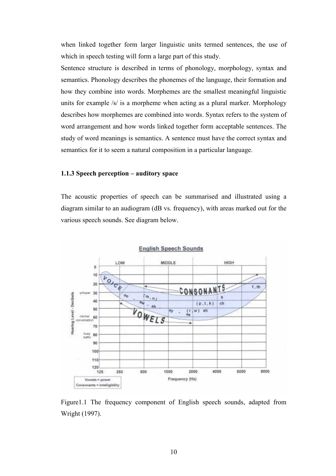when linked together form larger linguistic units termed sentences, the use of which in speech testing will form a large part of this study.

Sentence structure is described in terms of phonology, morphology, syntax and semantics. Phonology describes the phonemes of the language, their formation and how they combine into words. Morphemes are the smallest meaningful linguistic units for example /s/ is a morpheme when acting as a plural marker. Morphology describes how morphemes are combined into words. Syntax refers to the system of word arrangement and how words linked together form acceptable sentences. The study of word meanings is semantics. A sentence must have the correct syntax and semantics for it to seem a natural composition in a particular language.

### 1.1.3 Speech perception – auditory space

The acoustic properties of speech can be summarised and illustrated using a diagram similar to an audiogram (dB vs. frequency), with areas marked out for the various speech sounds. See diagram below.



Figure1.1 The frequency component of English speech sounds, adapted from Wright (1997).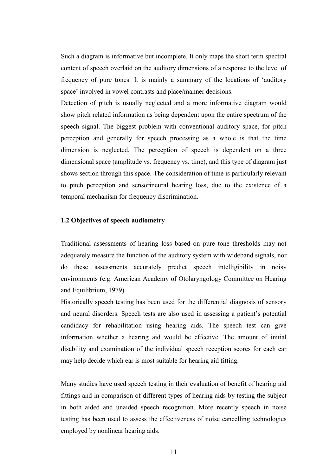Such a diagram is informative but incomplete. It only maps the short term spectral content of speech overlaid on the auditory dimensions of a response to the level of frequency of pure tones. It is mainly a summary of the locations of 'auditory space' involved in vowel contrasts and place/manner decisions.

Detection of pitch is usually neglected and a more informative diagram would show pitch related information as being dependent upon the entire spectrum of the speech signal. The biggest problem with conventional auditory space, for pitch perception and generally for speech processing as a whole is that the time dimension is neglected. The perception of speech is dependent on a three dimensional space (amplitude vs. frequency vs. time), and this type of diagram just shows section through this space. The consideration of time is particularly relevant to pitch perception and sensorineural hearing loss, due to the existence of a temporal mechanism for frequency discrimination.

### 1.2 Objectives of speech audiometry

Traditional assessments of hearing loss based on pure tone thresholds may not adequately measure the function of the auditory system with wideband signals, nor do these assessments accurately predict speech intelligibility in noisy environments (e.g. American Academy of Otolaryngology Committee on Hearing and Equilibrium, 1979).

Historically speech testing has been used for the differential diagnosis of sensory and neural disorders. Speech tests are also used in assessing a patient's potential candidacy for rehabilitation using hearing aids. The speech test can give information whether a hearing aid would be effective. The amount of initial disability and examination of the individual speech reception scores for each ear may help decide which ear is most suitable for hearing aid fitting.

Many studies have used speech testing in their evaluation of benefit of hearing aid fittings and in comparison of different types of hearing aids by testing the subject in both aided and unaided speech recognition. More recently speech in noise testing has been used to assess the effectiveness of noise cancelling technologies employed by nonlinear hearing aids.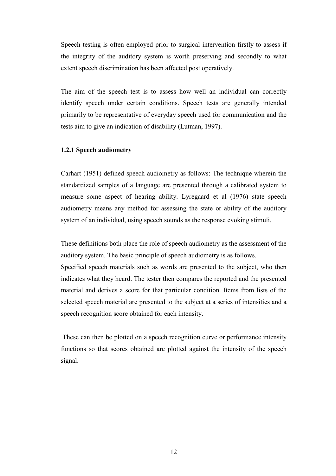Speech testing is often employed prior to surgical intervention firstly to assess if the integrity of the auditory system is worth preserving and secondly to what extent speech discrimination has been affected post operatively.

The aim of the speech test is to assess how well an individual can correctly identify speech under certain conditions. Speech tests are generally intended primarily to be representative of everyday speech used for communication and the tests aim to give an indication of disability (Lutman, 1997).

### 1.2.1 Speech audiometry

Carhart (1951) defined speech audiometry as follows: The technique wherein the standardized samples of a language are presented through a calibrated system to measure some aspect of hearing ability. Lyregaard et al (1976) state speech audiometry means any method for assessing the state or ability of the auditory system of an individual, using speech sounds as the response evoking stimuli.

These definitions both place the role of speech audiometry as the assessment of the auditory system. The basic principle of speech audiometry is as follows.

Specified speech materials such as words are presented to the subject, who then indicates what they heard. The tester then compares the reported and the presented material and derives a score for that particular condition. Items from lists of the selected speech material are presented to the subject at a series of intensities and a speech recognition score obtained for each intensity.

 These can then be plotted on a speech recognition curve or performance intensity functions so that scores obtained are plotted against the intensity of the speech signal.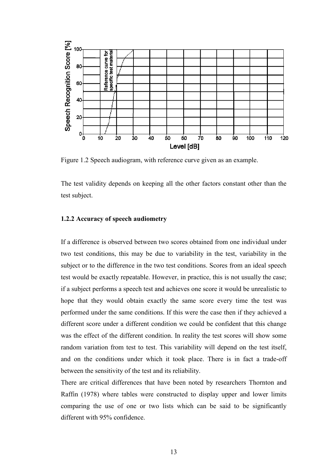

Figure 1.2 Speech audiogram, with reference curve given as an example.

The test validity depends on keeping all the other factors constant other than the test subject.

#### 1.2.2 Accuracy of speech audiometry

If a difference is observed between two scores obtained from one individual under two test conditions, this may be due to variability in the test, variability in the subject or to the difference in the two test conditions. Scores from an ideal speech test would be exactly repeatable. However, in practice, this is not usually the case; if a subject performs a speech test and achieves one score it would be unrealistic to hope that they would obtain exactly the same score every time the test was performed under the same conditions. If this were the case then if they achieved a different score under a different condition we could be confident that this change was the effect of the different condition. In reality the test scores will show some random variation from test to test. This variability will depend on the test itself, and on the conditions under which it took place. There is in fact a trade-off between the sensitivity of the test and its reliability.

There are critical differences that have been noted by researchers Thornton and Raffin (1978) where tables were constructed to display upper and lower limits comparing the use of one or two lists which can be said to be significantly different with 95% confidence.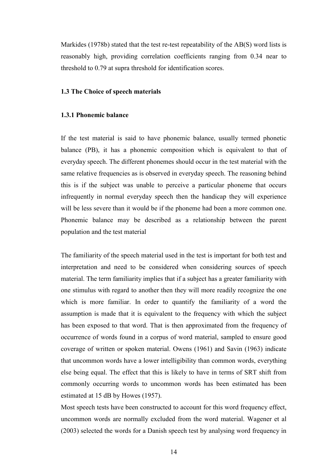Markides (1978b) stated that the test re-test repeatability of the AB(S) word lists is reasonably high, providing correlation coefficients ranging from 0.34 near to threshold to 0.79 at supra threshold for identification scores.

#### 1.3 The Choice of speech materials

# 1.3.1 Phonemic balance

If the test material is said to have phonemic balance, usually termed phonetic balance (PB), it has a phonemic composition which is equivalent to that of everyday speech. The different phonemes should occur in the test material with the same relative frequencies as is observed in everyday speech. The reasoning behind this is if the subject was unable to perceive a particular phoneme that occurs infrequently in normal everyday speech then the handicap they will experience will be less severe than it would be if the phoneme had been a more common one. Phonemic balance may be described as a relationship between the parent population and the test material

The familiarity of the speech material used in the test is important for both test and interpretation and need to be considered when considering sources of speech material. The term familiarity implies that if a subject has a greater familiarity with one stimulus with regard to another then they will more readily recognize the one which is more familiar. In order to quantify the familiarity of a word the assumption is made that it is equivalent to the frequency with which the subject has been exposed to that word. That is then approximated from the frequency of occurrence of words found in a corpus of word material, sampled to ensure good coverage of written or spoken material. Owens (1961) and Savin (1963) indicate that uncommon words have a lower intelligibility than common words, everything else being equal. The effect that this is likely to have in terms of SRT shift from commonly occurring words to uncommon words has been estimated has been estimated at 15 dB by Howes (1957).

Most speech tests have been constructed to account for this word frequency effect, uncommon words are normally excluded from the word material. Wagener et al (2003) selected the words for a Danish speech test by analysing word frequency in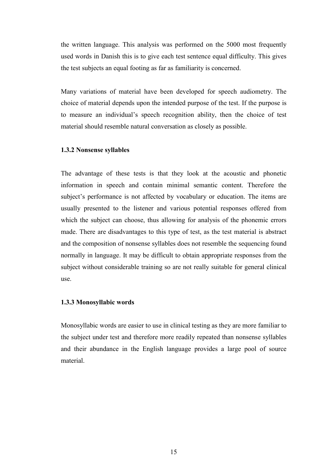the written language. This analysis was performed on the 5000 most frequently used words in Danish this is to give each test sentence equal difficulty. This gives the test subjects an equal footing as far as familiarity is concerned.

Many variations of material have been developed for speech audiometry. The choice of material depends upon the intended purpose of the test. If the purpose is to measure an individual's speech recognition ability, then the choice of test material should resemble natural conversation as closely as possible.

### 1.3.2 Nonsense syllables

The advantage of these tests is that they look at the acoustic and phonetic information in speech and contain minimal semantic content. Therefore the subject's performance is not affected by vocabulary or education. The items are usually presented to the listener and various potential responses offered from which the subject can choose, thus allowing for analysis of the phonemic errors made. There are disadvantages to this type of test, as the test material is abstract and the composition of nonsense syllables does not resemble the sequencing found normally in language. It may be difficult to obtain appropriate responses from the subject without considerable training so are not really suitable for general clinical use.

#### 1.3.3 Monosyllabic words

Monosyllabic words are easier to use in clinical testing as they are more familiar to the subject under test and therefore more readily repeated than nonsense syllables and their abundance in the English language provides a large pool of source material.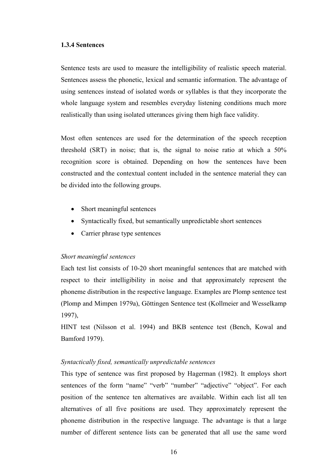#### 1.3.4 Sentences

Sentence tests are used to measure the intelligibility of realistic speech material. Sentences assess the phonetic, lexical and semantic information. The advantage of using sentences instead of isolated words or syllables is that they incorporate the whole language system and resembles everyday listening conditions much more realistically than using isolated utterances giving them high face validity.

Most often sentences are used for the determination of the speech reception threshold (SRT) in noise; that is, the signal to noise ratio at which a 50% recognition score is obtained. Depending on how the sentences have been constructed and the contextual content included in the sentence material they can be divided into the following groups.

- Short meaningful sentences
- Syntactically fixed, but semantically unpredictable short sentences
- Carrier phrase type sentences

## Short meaningful sentences

Each test list consists of 10-20 short meaningful sentences that are matched with respect to their intelligibility in noise and that approximately represent the phoneme distribution in the respective language. Examples are Plomp sentence test (Plomp and Mimpen 1979a), Göttingen Sentence test (Kollmeier and Wesselkamp 1997),

HINT test (Nilsson et al. 1994) and BKB sentence test (Bench, Kowal and Bamford 1979).

## Syntactically fixed, semantically unpredictable sentences

This type of sentence was first proposed by Hagerman (1982). It employs short sentences of the form "name" "verb" "number" "adjective" "object". For each position of the sentence ten alternatives are available. Within each list all ten alternatives of all five positions are used. They approximately represent the phoneme distribution in the respective language. The advantage is that a large number of different sentence lists can be generated that all use the same word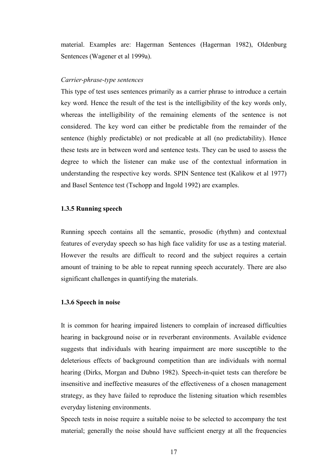material. Examples are: Hagerman Sentences (Hagerman 1982), Oldenburg Sentences (Wagener et al 1999a).

#### Carrier-phrase-type sentences

This type of test uses sentences primarily as a carrier phrase to introduce a certain key word. Hence the result of the test is the intelligibility of the key words only, whereas the intelligibility of the remaining elements of the sentence is not considered. The key word can either be predictable from the remainder of the sentence (highly predictable) or not predicable at all (no predictability). Hence these tests are in between word and sentence tests. They can be used to assess the degree to which the listener can make use of the contextual information in understanding the respective key words. SPIN Sentence test (Kalikow et al 1977) and Basel Sentence test (Tschopp and Ingold 1992) are examples.

### 1.3.5 Running speech

Running speech contains all the semantic, prosodic (rhythm) and contextual features of everyday speech so has high face validity for use as a testing material. However the results are difficult to record and the subject requires a certain amount of training to be able to repeat running speech accurately. There are also significant challenges in quantifying the materials.

### 1.3.6 Speech in noise

It is common for hearing impaired listeners to complain of increased difficulties hearing in background noise or in reverberant environments. Available evidence suggests that individuals with hearing impairment are more susceptible to the deleterious effects of background competition than are individuals with normal hearing (Dirks, Morgan and Dubno 1982). Speech-in-quiet tests can therefore be insensitive and ineffective measures of the effectiveness of a chosen management strategy, as they have failed to reproduce the listening situation which resembles everyday listening environments.

Speech tests in noise require a suitable noise to be selected to accompany the test material; generally the noise should have sufficient energy at all the frequencies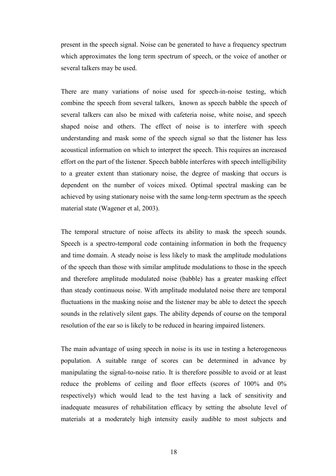present in the speech signal. Noise can be generated to have a frequency spectrum which approximates the long term spectrum of speech, or the voice of another or several talkers may be used.

There are many variations of noise used for speech-in-noise testing, which combine the speech from several talkers, known as speech babble the speech of several talkers can also be mixed with cafeteria noise, white noise, and speech shaped noise and others. The effect of noise is to interfere with speech understanding and mask some of the speech signal so that the listener has less acoustical information on which to interpret the speech. This requires an increased effort on the part of the listener. Speech babble interferes with speech intelligibility to a greater extent than stationary noise, the degree of masking that occurs is dependent on the number of voices mixed. Optimal spectral masking can be achieved by using stationary noise with the same long-term spectrum as the speech material state (Wagener et al, 2003).

The temporal structure of noise affects its ability to mask the speech sounds. Speech is a spectro-temporal code containing information in both the frequency and time domain. A steady noise is less likely to mask the amplitude modulations of the speech than those with similar amplitude modulations to those in the speech and therefore amplitude modulated noise (babble) has a greater masking effect than steady continuous noise. With amplitude modulated noise there are temporal fluctuations in the masking noise and the listener may be able to detect the speech sounds in the relatively silent gaps. The ability depends of course on the temporal resolution of the ear so is likely to be reduced in hearing impaired listeners.

The main advantage of using speech in noise is its use in testing a heterogeneous population. A suitable range of scores can be determined in advance by manipulating the signal-to-noise ratio. It is therefore possible to avoid or at least reduce the problems of ceiling and floor effects (scores of 100% and 0% respectively) which would lead to the test having a lack of sensitivity and inadequate measures of rehabilitation efficacy by setting the absolute level of materials at a moderately high intensity easily audible to most subjects and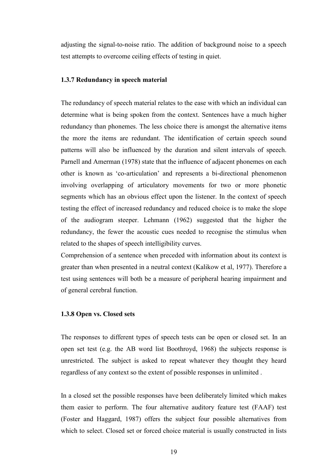adjusting the signal-to-noise ratio. The addition of background noise to a speech test attempts to overcome ceiling effects of testing in quiet.

### 1.3.7 Redundancy in speech material

The redundancy of speech material relates to the ease with which an individual can determine what is being spoken from the context. Sentences have a much higher redundancy than phonemes. The less choice there is amongst the alternative items the more the items are redundant. The identification of certain speech sound patterns will also be influenced by the duration and silent intervals of speech. Parnell and Amerman (1978) state that the influence of adjacent phonemes on each other is known as 'co-articulation' and represents a bi-directional phenomenon involving overlapping of articulatory movements for two or more phonetic segments which has an obvious effect upon the listener. In the context of speech testing the effect of increased redundancy and reduced choice is to make the slope of the audiogram steeper. Lehmann (1962) suggested that the higher the redundancy, the fewer the acoustic cues needed to recognise the stimulus when related to the shapes of speech intelligibility curves.

Comprehension of a sentence when preceded with information about its context is greater than when presented in a neutral context (Kalikow et al, 1977). Therefore a test using sentences will both be a measure of peripheral hearing impairment and of general cerebral function.

#### 1.3.8 Open vs. Closed sets

The responses to different types of speech tests can be open or closed set. In an open set test (e.g. the AB word list Boothroyd, 1968) the subjects response is unrestricted. The subject is asked to repeat whatever they thought they heard regardless of any context so the extent of possible responses in unlimited .

In a closed set the possible responses have been deliberately limited which makes them easier to perform. The four alternative auditory feature test (FAAF) test (Foster and Haggard, 1987) offers the subject four possible alternatives from which to select. Closed set or forced choice material is usually constructed in lists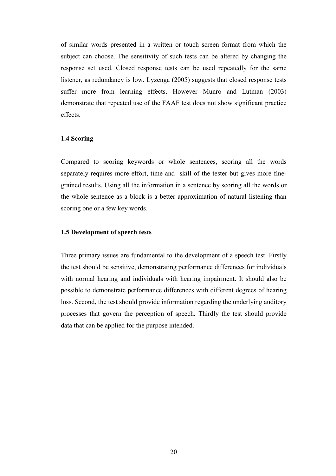of similar words presented in a written or touch screen format from which the subject can choose. The sensitivity of such tests can be altered by changing the response set used. Closed response tests can be used repeatedly for the same listener, as redundancy is low. Lyzenga (2005) suggests that closed response tests suffer more from learning effects. However Munro and Lutman (2003) demonstrate that repeated use of the FAAF test does not show significant practice effects.

### 1.4 Scoring

Compared to scoring keywords or whole sentences, scoring all the words separately requires more effort, time and skill of the tester but gives more finegrained results. Using all the information in a sentence by scoring all the words or the whole sentence as a block is a better approximation of natural listening than scoring one or a few key words.

#### 1.5 Development of speech tests

Three primary issues are fundamental to the development of a speech test. Firstly the test should be sensitive, demonstrating performance differences for individuals with normal hearing and individuals with hearing impairment. It should also be possible to demonstrate performance differences with different degrees of hearing loss. Second, the test should provide information regarding the underlying auditory processes that govern the perception of speech. Thirdly the test should provide data that can be applied for the purpose intended.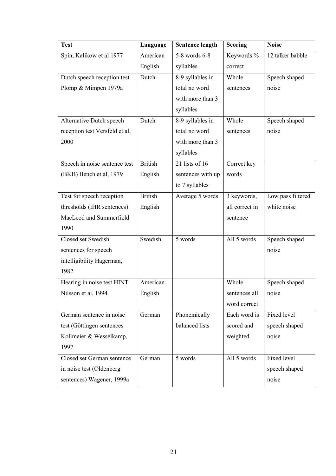| <b>Test</b>                    | Language       | <b>Sentence length</b> | <b>Scoring</b>      | <b>Noise</b>      |
|--------------------------------|----------------|------------------------|---------------------|-------------------|
| Spin, Kalikow et al 1977       | American       | $5-8$ words $6-8$      | Keywords %          | 12 talker babble  |
|                                | English        | syllables              | correct             |                   |
| Dutch speech reception test    | Dutch          | 8-9 syllables in       | Whole               | Speech shaped     |
| Plomp & Mimpen 1979a           |                | total no word          | sentences           | noise             |
|                                |                | with more than 3       |                     |                   |
|                                |                | syllables              |                     |                   |
| Alternative Dutch speech       | Dutch          | 8-9 syllables in       | Whole               | Speech shaped     |
| reception test Versfeld et al, |                | total no word          | sentences           | noise             |
| 2000                           |                | with more than 3       |                     |                   |
|                                |                | syllables              |                     |                   |
| Speech in noise sentence test  | <b>British</b> | $21$ lists of 16       | Correct key         |                   |
| (BKB) Bench et al, 1979        | English        | sentences with up      | words               |                   |
|                                |                | to 7 syllables         |                     |                   |
| Test for speech reception      | <b>British</b> | Average 5 words        | 3 keywords,         | Low pass filtered |
| thresholds (IHR sentences)     | English        |                        | all correct in      | white noise       |
| MacLeod and Summerfield        |                |                        | sentence            |                   |
| 1990                           |                |                        |                     |                   |
| Closed set Swedish             | Swedish        | 5 words                | All 5 words         | Speech shaped     |
| sentences for speech           |                |                        |                     | noise             |
| intelligibility Hagerman,      |                |                        |                     |                   |
| 1982                           |                |                        |                     |                   |
| Hearing in noise test HINT     | American       |                        | Whole               | Speech shaped     |
| Nilsson et al, 1994            | English        |                        | sentences all noise |                   |
|                                |                |                        | word correct        |                   |
| German sentence in noise       | German         | Phonemically           | Each word is        | Fixed level       |
| test (Göttingen sentences      |                | balanced lists         | scored and          | speech shaped     |
| Kollmeier & Wesselkamp,        |                |                        | weighted            | noise             |
| 1997                           |                |                        |                     |                   |
| Closed set German sentence     | German         | 5 words                | All 5 words         | Fixed level       |
| in noise test (Oldenberg       |                |                        |                     | speech shaped     |
| sentences) Wagener, 1999a      |                |                        |                     | noise             |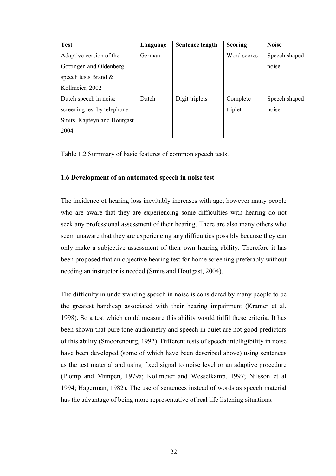| <b>Test</b>                 | Language | <b>Sentence length</b> | <b>Scoring</b> | <b>Noise</b>  |
|-----------------------------|----------|------------------------|----------------|---------------|
| Adaptive version of the     | German   |                        | Word scores    | Speech shaped |
| Gottingen and Oldenberg     |          |                        |                | noise         |
| speech tests Brand $\&$     |          |                        |                |               |
| Kollmeier, 2002             |          |                        |                |               |
| Dutch speech in noise       | Dutch    | Digit triplets         | Complete       | Speech shaped |
| screening test by telephone |          |                        | triplet        | noise         |
| Smits, Kapteyn and Houtgast |          |                        |                |               |
| 2004                        |          |                        |                |               |

Table 1.2 Summary of basic features of common speech tests.

# 1.6 Development of an automated speech in noise test

The incidence of hearing loss inevitably increases with age; however many people who are aware that they are experiencing some difficulties with hearing do not seek any professional assessment of their hearing. There are also many others who seem unaware that they are experiencing any difficulties possibly because they can only make a subjective assessment of their own hearing ability. Therefore it has been proposed that an objective hearing test for home screening preferably without needing an instructor is needed (Smits and Houtgast, 2004).

The difficulty in understanding speech in noise is considered by many people to be the greatest handicap associated with their hearing impairment (Kramer et al, 1998). So a test which could measure this ability would fulfil these criteria. It has been shown that pure tone audiometry and speech in quiet are not good predictors of this ability (Smoorenburg, 1992). Different tests of speech intelligibility in noise have been developed (some of which have been described above) using sentences as the test material and using fixed signal to noise level or an adaptive procedure (Plomp and Mimpen, 1979a; Kollmeier and Wesselkamp, 1997; Nilsson et al 1994; Hagerman, 1982). The use of sentences instead of words as speech material has the advantage of being more representative of real life listening situations.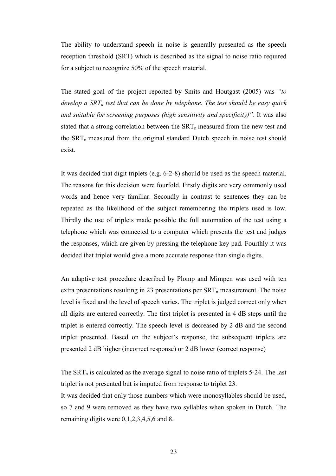The ability to understand speech in noise is generally presented as the speech reception threshold (SRT) which is described as the signal to noise ratio required for a subject to recognize 50% of the speech material.

The stated goal of the project reported by Smits and Houtgast (2005) was "to develop a  $SRT_n$  test that can be done by telephone. The test should be easy quick and suitable for screening purposes (high sensitivity and specificity)". It was also stated that a strong correlation between the  $SRT_n$  measured from the new test and the SRT<sub>n</sub> measured from the original standard Dutch speech in noise test should exist.

It was decided that digit triplets (e.g. 6-2-8) should be used as the speech material. The reasons for this decision were fourfold. Firstly digits are very commonly used words and hence very familiar. Secondly in contrast to sentences they can be repeated as the likelihood of the subject remembering the triplets used is low. Thirdly the use of triplets made possible the full automation of the test using a telephone which was connected to a computer which presents the test and judges the responses, which are given by pressing the telephone key pad. Fourthly it was decided that triplet would give a more accurate response than single digits.

An adaptive test procedure described by Plomp and Mimpen was used with ten extra presentations resulting in 23 presentations per  $SRT_n$  measurement. The noise level is fixed and the level of speech varies. The triplet is judged correct only when all digits are entered correctly. The first triplet is presented in 4 dB steps until the triplet is entered correctly. The speech level is decreased by 2 dB and the second triplet presented. Based on the subject's response, the subsequent triplets are presented 2 dB higher (incorrect response) or 2 dB lower (correct response)

The  $SRT_n$  is calculated as the average signal to noise ratio of triplets 5-24. The last triplet is not presented but is imputed from response to triplet 23.

It was decided that only those numbers which were monosyllables should be used, so 7 and 9 were removed as they have two syllables when spoken in Dutch. The remaining digits were 0,1,2,3,4,5,6 and 8.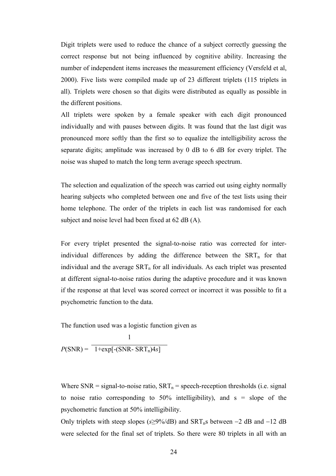Digit triplets were used to reduce the chance of a subject correctly guessing the correct response but not being influenced by cognitive ability. Increasing the number of independent items increases the measurement efficiency (Versfeld et al, 2000). Five lists were compiled made up of 23 different triplets (115 triplets in all). Triplets were chosen so that digits were distributed as equally as possible in the different positions.

All triplets were spoken by a female speaker with each digit pronounced individually and with pauses between digits. It was found that the last digit was pronounced more softly than the first so to equalize the intelligibility across the separate digits; amplitude was increased by 0 dB to 6 dB for every triplet. The noise was shaped to match the long term average speech spectrum.

The selection and equalization of the speech was carried out using eighty normally hearing subjects who completed between one and five of the test lists using their home telephone. The order of the triplets in each list was randomised for each subject and noise level had been fixed at 62 dB (A).

For every triplet presented the signal-to-noise ratio was corrected for interindividual differences by adding the difference between the  $SRT<sub>n</sub>$  for that individual and the average  $SRT_n$  for all individuals. As each triplet was presented at different signal-to-noise ratios during the adaptive procedure and it was known if the response at that level was scored correct or incorrect it was possible to fit a psychometric function to the data.

The function used was a logistic function given as

 1  $P(SNR) = 1 + exp[-(SNR - SRT_n)4s]$ 

Where SNR = signal-to-noise ratio,  $SRT_n$  = speech-reception thresholds (i.e. signal to noise ratio corresponding to  $50\%$  intelligibility), and s = slope of the psychometric function at 50% intelligibility.

Only triplets with steep slopes (s≥9%/dB) and  $SRT_n$ s between –2 dB and –12 dB were selected for the final set of triplets. So there were 80 triplets in all with an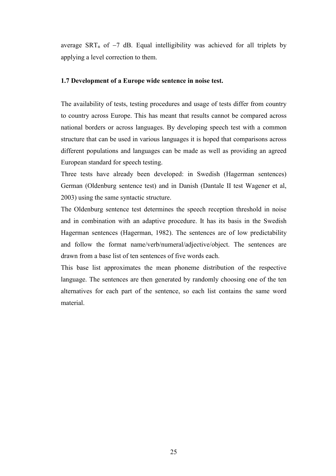average  $SRT_n$  of  $-7$  dB. Equal intelligibility was achieved for all triplets by applying a level correction to them.

### 1.7 Development of a Europe wide sentence in noise test.

The availability of tests, testing procedures and usage of tests differ from country to country across Europe. This has meant that results cannot be compared across national borders or across languages. By developing speech test with a common structure that can be used in various languages it is hoped that comparisons across different populations and languages can be made as well as providing an agreed European standard for speech testing.

Three tests have already been developed: in Swedish (Hagerman sentences) German (Oldenburg sentence test) and in Danish (Dantale II test Wagener et al, 2003) using the same syntactic structure.

The Oldenburg sentence test determines the speech reception threshold in noise and in combination with an adaptive procedure. It has its basis in the Swedish Hagerman sentences (Hagerman, 1982). The sentences are of low predictability and follow the format name/verb/numeral/adjective/object. The sentences are drawn from a base list of ten sentences of five words each.

This base list approximates the mean phoneme distribution of the respective language. The sentences are then generated by randomly choosing one of the ten alternatives for each part of the sentence, so each list contains the same word material.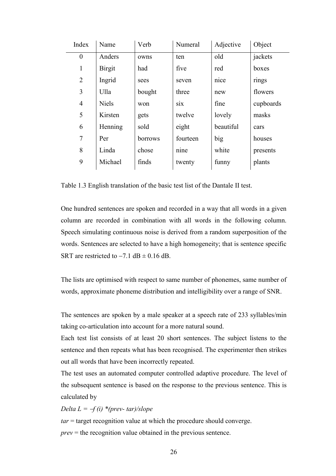| Index            | Name          | Verb    | Numeral  | Adjective | Object    |
|------------------|---------------|---------|----------|-----------|-----------|
| $\boldsymbol{0}$ | Anders        | owns    | ten      | old       | jackets   |
| $\mathbf{1}$     | <b>Birgit</b> | had     | five     | red       | boxes     |
| $\overline{2}$   | Ingrid        | sees    | seven    | nice      | rings     |
| 3                | Ulla          | bought  | three    | new       | flowers   |
| $\overline{4}$   | <b>Niels</b>  | won     | S1X      | fine      | cupboards |
| 5                | Kirsten       | gets    | twelve   | lovely    | masks     |
| 6                | Henning       | sold    | eight    | beautiful | cars      |
| $\tau$           | Per           | borrows | fourteen | big       | houses    |
| 8                | Linda         | chose   | nine     | white     | presents  |
| 9                | Michael       | finds   | twenty   | funny     | plants    |
|                  |               |         |          |           |           |

Table 1.3 English translation of the basic test list of the Dantale II test.

One hundred sentences are spoken and recorded in a way that all words in a given column are recorded in combination with all words in the following column. Speech simulating continuous noise is derived from a random superposition of the words. Sentences are selected to have a high homogeneity; that is sentence specific SRT are restricted to  $-7.1$  dB  $\pm$  0.16 dB.

The lists are optimised with respect to same number of phonemes, same number of words, approximate phoneme distribution and intelligibility over a range of SNR.

The sentences are spoken by a male speaker at a speech rate of 233 syllables/min taking co-articulation into account for a more natural sound.

Each test list consists of at least 20 short sentences. The subject listens to the sentence and then repeats what has been recognised. The experimenter then strikes out all words that have been incorrectly repeated.

The test uses an automated computer controlled adaptive procedure. The level of the subsequent sentence is based on the response to the previous sentence. This is calculated by

# Delta  $L = -f(i)$  \*(prev-tar)/slope

 $tar = target recognition value at which the procedure should converge.$  $prev =$  the recognition value obtained in the previous sentence.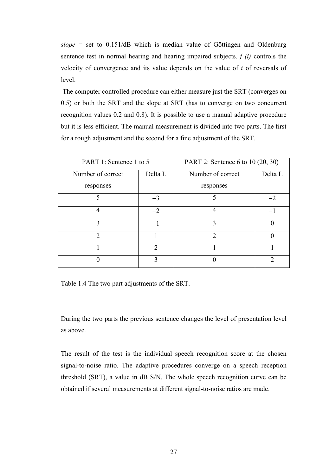$slope = set to 0.151/dB which is median value of Göttingen and Oldenburg$ sentence test in normal hearing and hearing impaired subjects.  $f(i)$  controls the velocity of convergence and its value depends on the value of i of reversals of level.

 The computer controlled procedure can either measure just the SRT (converges on 0.5) or both the SRT and the slope at SRT (has to converge on two concurrent recognition values 0.2 and 0.8). It is possible to use a manual adaptive procedure but it is less efficient. The manual measurement is divided into two parts. The first for a rough adjustment and the second for a fine adjustment of the SRT.

| PART 1: Sentence 1 to 5      |                             | PART 2: Sentence 6 to 10 (20, 30) |         |  |
|------------------------------|-----------------------------|-----------------------------------|---------|--|
| Delta L<br>Number of correct |                             | Number of correct                 | Delta L |  |
| responses                    |                             | responses                         |         |  |
|                              | $-3$                        |                                   |         |  |
|                              | $-2$                        | 4                                 |         |  |
| 3                            | $-1$                        | 3                                 |         |  |
| $\mathcal{D}_{\mathcal{L}}$  |                             | $\mathcal{D}$                     |         |  |
|                              | $\mathcal{D}_{\mathcal{A}}$ |                                   |         |  |
|                              | $\mathbf{3}$                |                                   |         |  |

Table 1.4 The two part adjustments of the SRT.

During the two parts the previous sentence changes the level of presentation level as above.

The result of the test is the individual speech recognition score at the chosen signal-to-noise ratio. The adaptive procedures converge on a speech reception threshold (SRT), a value in dB S/N. The whole speech recognition curve can be obtained if several measurements at different signal-to-noise ratios are made.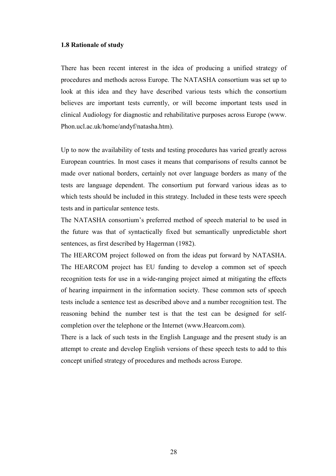#### 1.8 Rationale of study

There has been recent interest in the idea of producing a unified strategy of procedures and methods across Europe. The NATASHA consortium was set up to look at this idea and they have described various tests which the consortium believes are important tests currently, or will become important tests used in clinical Audiology for diagnostic and rehabilitative purposes across Europe (www. Phon.ucl.ac.uk/home/andyf/natasha.htm).

Up to now the availability of tests and testing procedures has varied greatly across European countries. In most cases it means that comparisons of results cannot be made over national borders, certainly not over language borders as many of the tests are language dependent. The consortium put forward various ideas as to which tests should be included in this strategy. Included in these tests were speech tests and in particular sentence tests.

The NATASHA consortium's preferred method of speech material to be used in the future was that of syntactically fixed but semantically unpredictable short sentences, as first described by Hagerman (1982).

The HEARCOM project followed on from the ideas put forward by NATASHA. The HEARCOM project has EU funding to develop a common set of speech recognition tests for use in a wide-ranging project aimed at mitigating the effects of hearing impairment in the information society. These common sets of speech tests include a sentence test as described above and a number recognition test. The reasoning behind the number test is that the test can be designed for selfcompletion over the telephone or the Internet (www.Hearcom.com).

There is a lack of such tests in the English Language and the present study is an attempt to create and develop English versions of these speech tests to add to this concept unified strategy of procedures and methods across Europe.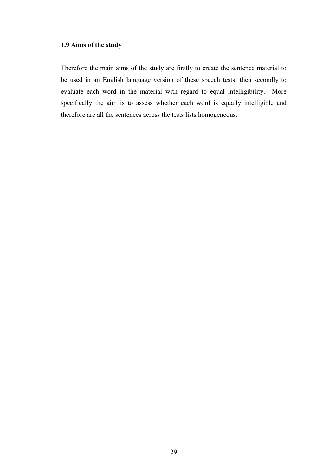# 1.9 Aims of the study

Therefore the main aims of the study are firstly to create the sentence material to be used in an English language version of these speech tests; then secondly to evaluate each word in the material with regard to equal intelligibility. More specifically the aim is to assess whether each word is equally intelligible and therefore are all the sentences across the tests lists homogeneous.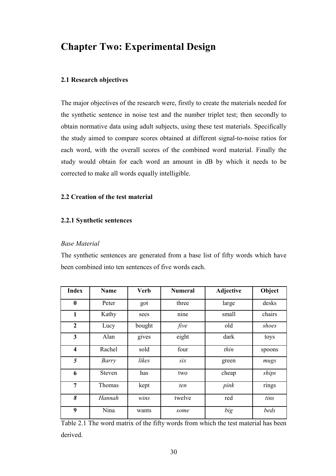# Chapter Two: Experimental Design

# 2.1 Research objectives

The major objectives of the research were, firstly to create the materials needed for the synthetic sentence in noise test and the number triplet test; then secondly to obtain normative data using adult subjects, using these test materials. Specifically the study aimed to compare scores obtained at different signal-to-noise ratios for each word, with the overall scores of the combined word material. Finally the study would obtain for each word an amount in dB by which it needs to be corrected to make all words equally intelligible.

# 2.2 Creation of the test material

## 2.2.1 Synthetic sentences

### Base Material

The synthetic sentences are generated from a base list of fifty words which have been combined into ten sentences of five words each.

| <b>Index</b>     | Name          | <b>Verb</b> | <b>Numeral</b> | Adjective | Object |
|------------------|---------------|-------------|----------------|-----------|--------|
| $\boldsymbol{0}$ | Peter         | got         | three          | large     | desks  |
| 1                | Kathy         | sees        | nine           | small     | chairs |
| $\overline{2}$   | Lucy          | bought      | five           | old       | shoes  |
| 3                | Alan          | gives       | eight          | dark      | toys   |
| $\boldsymbol{4}$ | Rachel        | sold        | four           | thin      | spoons |
| 5                | Barry         | likes       | six            | green     | mugs   |
| 6                | <b>Steven</b> | has         | two            | cheap     | ships  |
| $\overline{7}$   | Thomas        | kept        | ten            | pink      | rings  |
| 8                | Hannah        | wins        | twelve         | red       | tins   |
| 9                | Nina          | wants       | some           | big       | beds   |

Table 2.1 The word matrix of the fifty words from which the test material has been derived.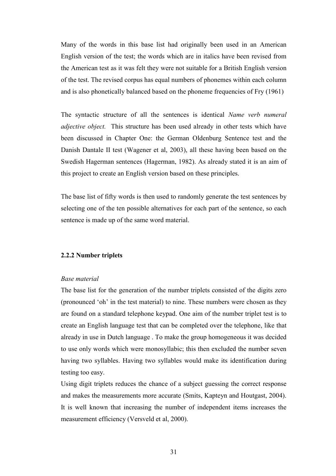Many of the words in this base list had originally been used in an American English version of the test; the words which are in italics have been revised from the American test as it was felt they were not suitable for a British English version of the test. The revised corpus has equal numbers of phonemes within each column and is also phonetically balanced based on the phoneme frequencies of Fry (1961)

The syntactic structure of all the sentences is identical Name verb numeral adjective object. This structure has been used already in other tests which have been discussed in Chapter One: the German Oldenburg Sentence test and the Danish Dantale II test (Wagener et al, 2003), all these having been based on the Swedish Hagerman sentences (Hagerman, 1982). As already stated it is an aim of this project to create an English version based on these principles.

The base list of fifty words is then used to randomly generate the test sentences by selecting one of the ten possible alternatives for each part of the sentence, so each sentence is made up of the same word material.

#### 2.2.2 Number triplets

#### Base material

The base list for the generation of the number triplets consisted of the digits zero (pronounced 'oh' in the test material) to nine. These numbers were chosen as they are found on a standard telephone keypad. One aim of the number triplet test is to create an English language test that can be completed over the telephone, like that already in use in Dutch language . To make the group homogeneous it was decided to use only words which were monosyllabic; this then excluded the number seven having two syllables. Having two syllables would make its identification during testing too easy.

Using digit triplets reduces the chance of a subject guessing the correct response and makes the measurements more accurate (Smits, Kapteyn and Houtgast, 2004). It is well known that increasing the number of independent items increases the measurement efficiency (Versveld et al, 2000).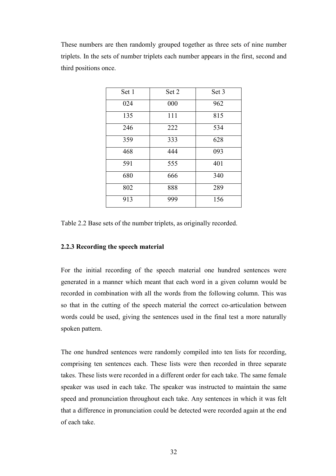These numbers are then randomly grouped together as three sets of nine number triplets. In the sets of number triplets each number appears in the first, second and third positions once.

| Set 1 | Set 2 | Set 3 |
|-------|-------|-------|
| 024   | 000   | 962   |
| 135   | 111   | 815   |
| 246   | 222   | 534   |
| 359   | 333   | 628   |
| 468   | 444   | 093   |
| 591   | 555   | 401   |
| 680   | 666   | 340   |
| 802   | 888   | 289   |
| 913   | 999   | 156   |

Table 2.2 Base sets of the number triplets, as originally recorded.

## 2.2.3 Recording the speech material

For the initial recording of the speech material one hundred sentences were generated in a manner which meant that each word in a given column would be recorded in combination with all the words from the following column. This was so that in the cutting of the speech material the correct co-articulation between words could be used, giving the sentences used in the final test a more naturally spoken pattern.

The one hundred sentences were randomly compiled into ten lists for recording, comprising ten sentences each. These lists were then recorded in three separate takes. These lists were recorded in a different order for each take. The same female speaker was used in each take. The speaker was instructed to maintain the same speed and pronunciation throughout each take. Any sentences in which it was felt that a difference in pronunciation could be detected were recorded again at the end of each take.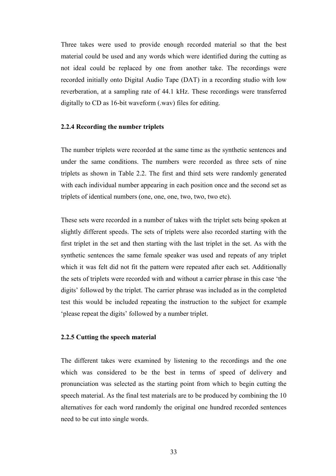Three takes were used to provide enough recorded material so that the best material could be used and any words which were identified during the cutting as not ideal could be replaced by one from another take. The recordings were recorded initially onto Digital Audio Tape (DAT) in a recording studio with low reverberation, at a sampling rate of 44.1 kHz. These recordings were transferred digitally to CD as 16-bit waveform (.wav) files for editing.

#### 2.2.4 Recording the number triplets

The number triplets were recorded at the same time as the synthetic sentences and under the same conditions. The numbers were recorded as three sets of nine triplets as shown in Table 2.2. The first and third sets were randomly generated with each individual number appearing in each position once and the second set as triplets of identical numbers (one, one, one, two, two, two etc).

These sets were recorded in a number of takes with the triplet sets being spoken at slightly different speeds. The sets of triplets were also recorded starting with the first triplet in the set and then starting with the last triplet in the set. As with the synthetic sentences the same female speaker was used and repeats of any triplet which it was felt did not fit the pattern were repeated after each set. Additionally the sets of triplets were recorded with and without a carrier phrase in this case 'the digits' followed by the triplet. The carrier phrase was included as in the completed test this would be included repeating the instruction to the subject for example 'please repeat the digits' followed by a number triplet.

### 2.2.5 Cutting the speech material

The different takes were examined by listening to the recordings and the one which was considered to be the best in terms of speed of delivery and pronunciation was selected as the starting point from which to begin cutting the speech material. As the final test materials are to be produced by combining the 10 alternatives for each word randomly the original one hundred recorded sentences need to be cut into single words.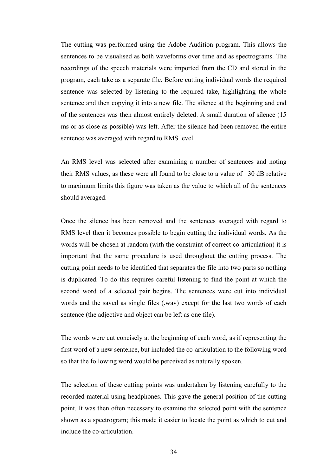The cutting was performed using the Adobe Audition program. This allows the sentences to be visualised as both waveforms over time and as spectrograms. The recordings of the speech materials were imported from the CD and stored in the program, each take as a separate file. Before cutting individual words the required sentence was selected by listening to the required take, highlighting the whole sentence and then copying it into a new file. The silence at the beginning and end of the sentences was then almost entirely deleted. A small duration of silence (15 ms or as close as possible) was left. After the silence had been removed the entire sentence was averaged with regard to RMS level.

An RMS level was selected after examining a number of sentences and noting their RMS values, as these were all found to be close to a value of −30 dB relative to maximum limits this figure was taken as the value to which all of the sentences should averaged.

Once the silence has been removed and the sentences averaged with regard to RMS level then it becomes possible to begin cutting the individual words. As the words will be chosen at random (with the constraint of correct co-articulation) it is important that the same procedure is used throughout the cutting process. The cutting point needs to be identified that separates the file into two parts so nothing is duplicated. To do this requires careful listening to find the point at which the second word of a selected pair begins. The sentences were cut into individual words and the saved as single files (.wav) except for the last two words of each sentence (the adjective and object can be left as one file).

The words were cut concisely at the beginning of each word, as if representing the first word of a new sentence, but included the co-articulation to the following word so that the following word would be perceived as naturally spoken.

The selection of these cutting points was undertaken by listening carefully to the recorded material using headphones. This gave the general position of the cutting point. It was then often necessary to examine the selected point with the sentence shown as a spectrogram; this made it easier to locate the point as which to cut and include the co-articulation.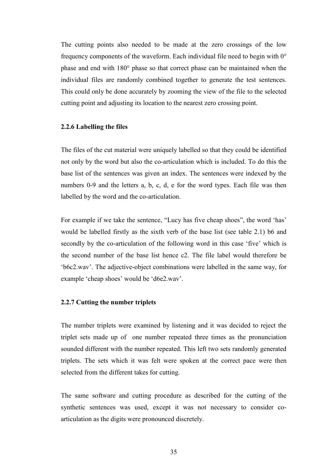The cutting points also needed to be made at the zero crossings of the low frequency components of the waveform. Each individual file need to begin with 0° phase and end with 180° phase so that correct phase can be maintained when the individual files are randomly combined together to generate the test sentences. This could only be done accurately by zooming the view of the file to the selected cutting point and adjusting its location to the nearest zero crossing point.

#### 2.2.6 Labelling the files

The files of the cut material were uniquely labelled so that they could be identified not only by the word but also the co-articulation which is included. To do this the base list of the sentences was given an index. The sentences were indexed by the numbers 0-9 and the letters a, b, c, d, e for the word types. Each file was then labelled by the word and the co-articulation.

For example if we take the sentence, "Lucy has five cheap shoes", the word 'has' would be labelled firstly as the sixth verb of the base list (see table 2.1) b6 and secondly by the co-articulation of the following word in this case 'five' which is the second number of the base list hence c2. The file label would therefore be 'b6c2.wav'. The adjective-object combinations were labelled in the same way, for example 'cheap shoes' would be 'd6e2.wav'.

#### 2.2.7 Cutting the number triplets

The number triplets were examined by listening and it was decided to reject the triplet sets made up of one number repeated three times as the pronunciation sounded different with the number repeated. This left two sets randomly generated triplets. The sets which it was felt were spoken at the correct pace were then selected from the different takes for cutting.

The same software and cutting procedure as described for the cutting of the synthetic sentences was used, except it was not necessary to consider coarticulation as the digits were pronounced discretely.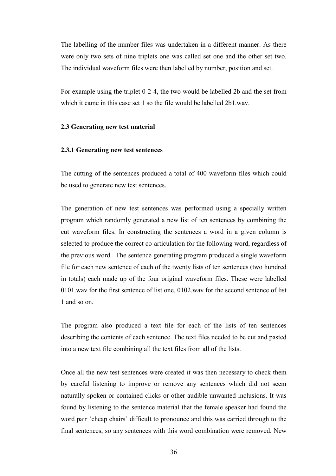The labelling of the number files was undertaken in a different manner. As there were only two sets of nine triplets one was called set one and the other set two. The individual waveform files were then labelled by number, position and set.

For example using the triplet 0-2-4, the two would be labelled 2b and the set from which it came in this case set 1 so the file would be labelled 2b1 way.

#### 2.3 Generating new test material

#### 2.3.1 Generating new test sentences

The cutting of the sentences produced a total of 400 waveform files which could be used to generate new test sentences.

The generation of new test sentences was performed using a specially written program which randomly generated a new list of ten sentences by combining the cut waveform files. In constructing the sentences a word in a given column is selected to produce the correct co-articulation for the following word, regardless of the previous word. The sentence generating program produced a single waveform file for each new sentence of each of the twenty lists of ten sentences (two hundred in totals) each made up of the four original waveform files. These were labelled 0101.wav for the first sentence of list one, 0102.wav for the second sentence of list 1 and so on.

The program also produced a text file for each of the lists of ten sentences describing the contents of each sentence. The text files needed to be cut and pasted into a new text file combining all the text files from all of the lists.

Once all the new test sentences were created it was then necessary to check them by careful listening to improve or remove any sentences which did not seem naturally spoken or contained clicks or other audible unwanted inclusions. It was found by listening to the sentence material that the female speaker had found the word pair 'cheap chairs' difficult to pronounce and this was carried through to the final sentences, so any sentences with this word combination were removed. New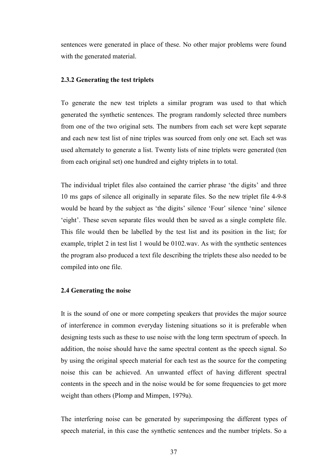sentences were generated in place of these. No other major problems were found with the generated material.

## 2.3.2 Generating the test triplets

To generate the new test triplets a similar program was used to that which generated the synthetic sentences. The program randomly selected three numbers from one of the two original sets. The numbers from each set were kept separate and each new test list of nine triples was sourced from only one set. Each set was used alternately to generate a list. Twenty lists of nine triplets were generated (ten from each original set) one hundred and eighty triplets in to total.

The individual triplet files also contained the carrier phrase 'the digits' and three 10 ms gaps of silence all originally in separate files. So the new triplet file 4-9-8 would be heard by the subject as 'the digits' silence 'Four' silence 'nine' silence 'eight'. These seven separate files would then be saved as a single complete file. This file would then be labelled by the test list and its position in the list; for example, triplet 2 in test list 1 would be 0102.wav. As with the synthetic sentences the program also produced a text file describing the triplets these also needed to be compiled into one file.

### 2.4 Generating the noise

It is the sound of one or more competing speakers that provides the major source of interference in common everyday listening situations so it is preferable when designing tests such as these to use noise with the long term spectrum of speech. In addition, the noise should have the same spectral content as the speech signal. So by using the original speech material for each test as the source for the competing noise this can be achieved. An unwanted effect of having different spectral contents in the speech and in the noise would be for some frequencies to get more weight than others (Plomp and Mimpen, 1979a).

The interfering noise can be generated by superimposing the different types of speech material, in this case the synthetic sentences and the number triplets. So a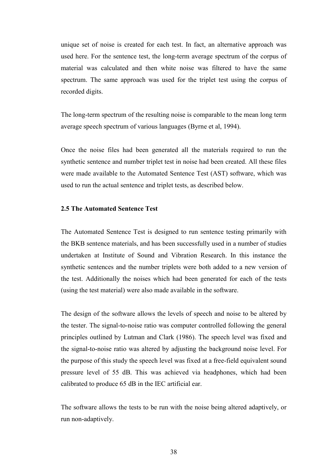unique set of noise is created for each test. In fact, an alternative approach was used here. For the sentence test, the long-term average spectrum of the corpus of material was calculated and then white noise was filtered to have the same spectrum. The same approach was used for the triplet test using the corpus of recorded digits.

The long-term spectrum of the resulting noise is comparable to the mean long term average speech spectrum of various languages (Byrne et al, 1994).

Once the noise files had been generated all the materials required to run the synthetic sentence and number triplet test in noise had been created. All these files were made available to the Automated Sentence Test (AST) software, which was used to run the actual sentence and triplet tests, as described below.

## 2.5 The Automated Sentence Test

The Automated Sentence Test is designed to run sentence testing primarily with the BKB sentence materials, and has been successfully used in a number of studies undertaken at Institute of Sound and Vibration Research. In this instance the synthetic sentences and the number triplets were both added to a new version of the test. Additionally the noises which had been generated for each of the tests (using the test material) were also made available in the software.

The design of the software allows the levels of speech and noise to be altered by the tester. The signal-to-noise ratio was computer controlled following the general principles outlined by Lutman and Clark (1986). The speech level was fixed and the signal-to-noise ratio was altered by adjusting the background noise level. For the purpose of this study the speech level was fixed at a free-field equivalent sound pressure level of 55 dB. This was achieved via headphones, which had been calibrated to produce 65 dB in the IEC artificial ear.

The software allows the tests to be run with the noise being altered adaptively, or run non-adaptively.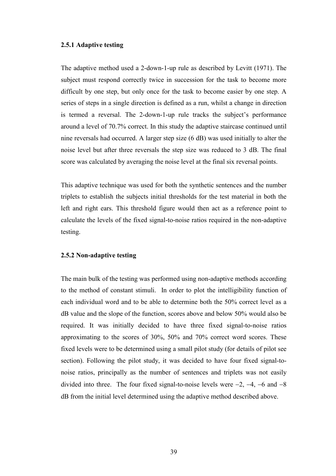## 2.5.1 Adaptive testing

The adaptive method used a 2-down-1-up rule as described by Levitt (1971). The subject must respond correctly twice in succession for the task to become more difficult by one step, but only once for the task to become easier by one step. A series of steps in a single direction is defined as a run, whilst a change in direction is termed a reversal. The 2-down-1-up rule tracks the subject's performance around a level of 70.7% correct. In this study the adaptive staircase continued until nine reversals had occurred. A larger step size (6 dB) was used initially to alter the noise level but after three reversals the step size was reduced to 3 dB. The final score was calculated by averaging the noise level at the final six reversal points.

This adaptive technique was used for both the synthetic sentences and the number triplets to establish the subjects initial thresholds for the test material in both the left and right ears. This threshold figure would then act as a reference point to calculate the levels of the fixed signal-to-noise ratios required in the non-adaptive testing.

### 2.5.2 Non-adaptive testing

The main bulk of the testing was performed using non-adaptive methods according to the method of constant stimuli. In order to plot the intelligibility function of each individual word and to be able to determine both the 50% correct level as a dB value and the slope of the function, scores above and below 50% would also be required. It was initially decided to have three fixed signal-to-noise ratios approximating to the scores of 30%, 50% and 70% correct word scores. These fixed levels were to be determined using a small pilot study (for details of pilot see section). Following the pilot study, it was decided to have four fixed signal-tonoise ratios, principally as the number of sentences and triplets was not easily divided into three. The four fixed signal-to-noise levels were −2, −4, −6 and −8 dB from the initial level determined using the adaptive method described above.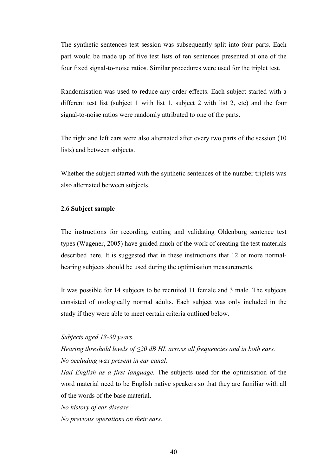The synthetic sentences test session was subsequently split into four parts. Each part would be made up of five test lists of ten sentences presented at one of the four fixed signal-to-noise ratios. Similar procedures were used for the triplet test.

Randomisation was used to reduce any order effects. Each subject started with a different test list (subject 1 with list 1, subject 2 with list 2, etc) and the four signal-to-noise ratios were randomly attributed to one of the parts.

The right and left ears were also alternated after every two parts of the session (10 lists) and between subjects.

Whether the subject started with the synthetic sentences of the number triplets was also alternated between subjects.

## 2.6 Subject sample

The instructions for recording, cutting and validating Oldenburg sentence test types (Wagener, 2005) have guided much of the work of creating the test materials described here. It is suggested that in these instructions that 12 or more normalhearing subjects should be used during the optimisation measurements.

It was possible for 14 subjects to be recruited 11 female and 3 male. The subjects consisted of otologically normal adults. Each subject was only included in the study if they were able to meet certain criteria outlined below.

## Subjects aged 18-30 years.

Hearing threshold levels of  $\leq$ 20 dB HL across all frequencies and in both ears. No occluding wax present in ear canal.

Had English as a first language. The subjects used for the optimisation of the word material need to be English native speakers so that they are familiar with all of the words of the base material.

No history of ear disease.

No previous operations on their ears.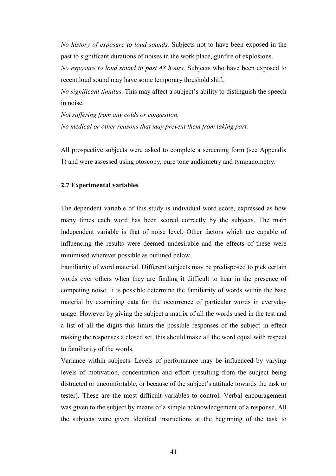No history of exposure to loud sounds. Subjects not to have been exposed in the past to significant durations of noises in the work place, gunfire of explosions.

No exposure to loud sound in past 48 hours. Subjects who have been exposed to recent loud sound may have some temporary threshold shift.

No significant tinnitus. This may affect a subject's ability to distinguish the speech in noise.

Not suffering from any colds or congestion. No medical or other reasons that may prevent them from taking part.

All prospective subjects were asked to complete a screening form (see Appendix 1) and were assessed using otoscopy, pure tone audiometry and tympanometry.

## 2.7 Experimental variables

The dependent variable of this study is individual word score, expressed as how many times each word has been scored correctly by the subjects. The main independent variable is that of noise level. Other factors which are capable of influencing the results were deemed undesirable and the effects of these were minimised wherever possible as outlined below.

Familiarity of word material. Different subjects may be predisposed to pick certain words over others when they are finding it difficult to hear in the presence of competing noise. It is possible determine the familiarity of words within the base material by examining data for the occurrence of particular words in everyday usage. However by giving the subject a matrix of all the words used in the test and a list of all the digits this limits the possible responses of the subject in effect making the responses a closed set, this should make all the word equal with respect to familiarity of the words.

Variance within subjects. Levels of performance may be influenced by varying levels of motivation, concentration and effort (resulting from the subject being distracted or uncomfortable, or because of the subject's attitude towards the task or tester). These are the most difficult variables to control. Verbal encouragement was given to the subject by means of a simple acknowledgement of a response. All the subjects were given identical instructions at the beginning of the task to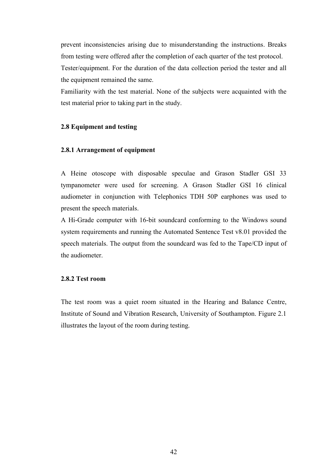prevent inconsistencies arising due to misunderstanding the instructions. Breaks from testing were offered after the completion of each quarter of the test protocol. Tester/equipment. For the duration of the data collection period the tester and all the equipment remained the same.

Familiarity with the test material. None of the subjects were acquainted with the test material prior to taking part in the study.

## 2.8 Equipment and testing

### 2.8.1 Arrangement of equipment

A Heine otoscope with disposable speculae and Grason Stadler GSI 33 tympanometer were used for screening. A Grason Stadler GSI 16 clinical audiometer in conjunction with Telephonics TDH 50P earphones was used to present the speech materials.

A Hi-Grade computer with 16-bit soundcard conforming to the Windows sound system requirements and running the Automated Sentence Test v8.01 provided the speech materials. The output from the soundcard was fed to the Tape/CD input of the audiometer.

## 2.8.2 Test room

The test room was a quiet room situated in the Hearing and Balance Centre, Institute of Sound and Vibration Research, University of Southampton. Figure 2.1 illustrates the layout of the room during testing.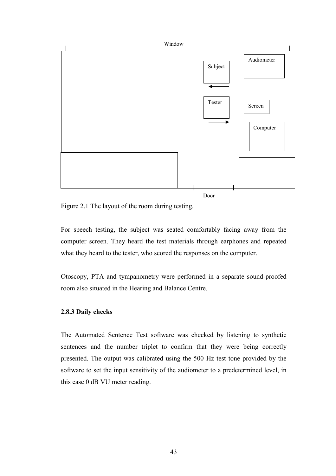

Figure 2.1 The layout of the room during testing.

For speech testing, the subject was seated comfortably facing away from the computer screen. They heard the test materials through earphones and repeated what they heard to the tester, who scored the responses on the computer.

Otoscopy, PTA and tympanometry were performed in a separate sound-proofed room also situated in the Hearing and Balance Centre.

### 2.8.3 Daily checks

The Automated Sentence Test software was checked by listening to synthetic sentences and the number triplet to confirm that they were being correctly presented. The output was calibrated using the 500 Hz test tone provided by the software to set the input sensitivity of the audiometer to a predetermined level, in this case 0 dB VU meter reading.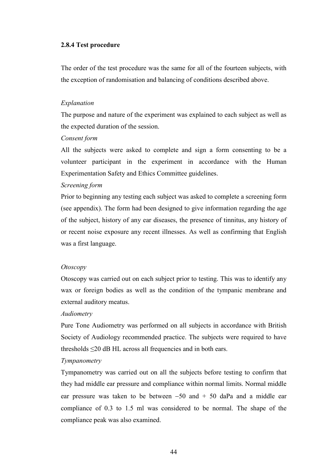## 2.8.4 Test procedure

The order of the test procedure was the same for all of the fourteen subjects, with the exception of randomisation and balancing of conditions described above.

### Explanation

The purpose and nature of the experiment was explained to each subject as well as the expected duration of the session.

### Consent form

All the subjects were asked to complete and sign a form consenting to be a volunteer participant in the experiment in accordance with the Human Experimentation Safety and Ethics Committee guidelines.

### Screening form

Prior to beginning any testing each subject was asked to complete a screening form (see appendix). The form had been designed to give information regarding the age of the subject, history of any ear diseases, the presence of tinnitus, any history of or recent noise exposure any recent illnesses. As well as confirming that English was a first language.

#### Otoscopy

Otoscopy was carried out on each subject prior to testing. This was to identify any wax or foreign bodies as well as the condition of the tympanic membrane and external auditory meatus.

#### Audiometry

Pure Tone Audiometry was performed on all subjects in accordance with British Society of Audiology recommended practice. The subjects were required to have thresholds  $\leq$ 20 dB HL across all frequencies and in both ears.

### Tympanometry

Tympanometry was carried out on all the subjects before testing to confirm that they had middle ear pressure and compliance within normal limits. Normal middle ear pressure was taken to be between −50 and + 50 daPa and a middle ear compliance of 0.3 to 1.5 ml was considered to be normal. The shape of the compliance peak was also examined.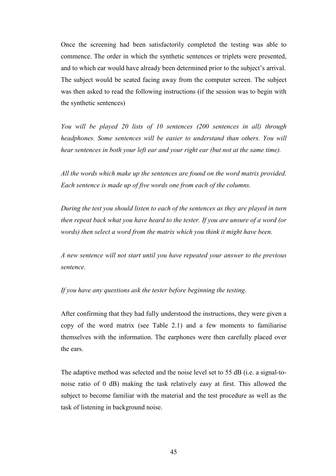Once the screening had been satisfactorily completed the testing was able to commence. The order in which the synthetic sentences or triplets were presented, and to which ear would have already been determined prior to the subject's arrival. The subject would be seated facing away from the computer screen. The subject was then asked to read the following instructions (if the session was to begin with the synthetic sentences)

You will be played 20 lists of 10 sentences (200 sentences in all) through headphones. Some sentences will be easier to understand than others. You will hear sentences in both your left ear and your right ear (but not at the same time).

All the words which make up the sentences are found on the word matrix provided. Each sentence is made up of five words one from each of the columns.

During the test you should listen to each of the sentences as they are played in turn then repeat back what you have heard to the tester. If you are unsure of a word (or words) then select a word from the matrix which you think it might have been.

A new sentence will not start until you have repeated your answer to the previous sentence.

## If you have any questions ask the tester before beginning the testing.

After confirming that they had fully understood the instructions, they were given a copy of the word matrix (see Table 2.1) and a few moments to familiarise themselves with the information. The earphones were then carefully placed over the ears.

The adaptive method was selected and the noise level set to 55 dB (i.e. a signal-tonoise ratio of 0 dB) making the task relatively easy at first. This allowed the subject to become familiar with the material and the test procedure as well as the task of listening in background noise.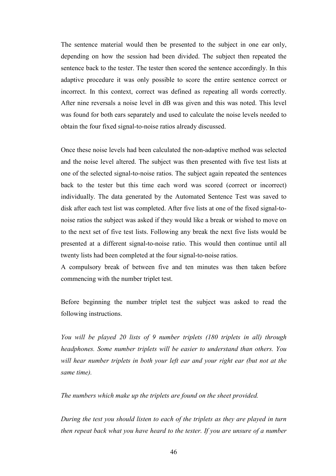The sentence material would then be presented to the subject in one ear only, depending on how the session had been divided. The subject then repeated the sentence back to the tester. The tester then scored the sentence accordingly. In this adaptive procedure it was only possible to score the entire sentence correct or incorrect. In this context, correct was defined as repeating all words correctly. After nine reversals a noise level in dB was given and this was noted. This level was found for both ears separately and used to calculate the noise levels needed to obtain the four fixed signal-to-noise ratios already discussed.

Once these noise levels had been calculated the non-adaptive method was selected and the noise level altered. The subject was then presented with five test lists at one of the selected signal-to-noise ratios. The subject again repeated the sentences back to the tester but this time each word was scored (correct or incorrect) individually. The data generated by the Automated Sentence Test was saved to disk after each test list was completed. After five lists at one of the fixed signal-tonoise ratios the subject was asked if they would like a break or wished to move on to the next set of five test lists. Following any break the next five lists would be presented at a different signal-to-noise ratio. This would then continue until all twenty lists had been completed at the four signal-to-noise ratios.

A compulsory break of between five and ten minutes was then taken before commencing with the number triplet test.

Before beginning the number triplet test the subject was asked to read the following instructions.

You will be played 20 lists of 9 number triplets (180 triplets in all) through headphones. Some number triplets will be easier to understand than others. You will hear number triplets in both your left ear and your right ear (but not at the same time).

The numbers which make up the triplets are found on the sheet provided.

During the test you should listen to each of the triplets as they are played in turn then repeat back what you have heard to the tester. If you are unsure of a number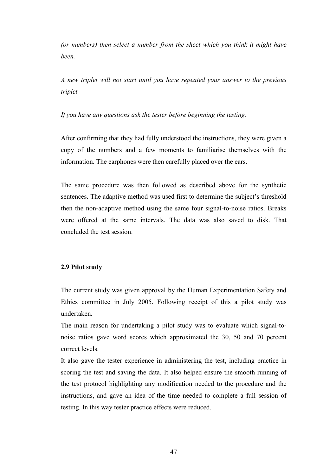(or numbers) then select a number from the sheet which you think it might have been.

A new triplet will not start until you have repeated your answer to the previous triplet.

## If you have any questions ask the tester before beginning the testing.

After confirming that they had fully understood the instructions, they were given a copy of the numbers and a few moments to familiarise themselves with the information. The earphones were then carefully placed over the ears.

The same procedure was then followed as described above for the synthetic sentences. The adaptive method was used first to determine the subject's threshold then the non-adaptive method using the same four signal-to-noise ratios. Breaks were offered at the same intervals. The data was also saved to disk. That concluded the test session.

### 2.9 Pilot study

The current study was given approval by the Human Experimentation Safety and Ethics committee in July 2005. Following receipt of this a pilot study was undertaken.

The main reason for undertaking a pilot study was to evaluate which signal-tonoise ratios gave word scores which approximated the 30, 50 and 70 percent correct levels.

It also gave the tester experience in administering the test, including practice in scoring the test and saving the data. It also helped ensure the smooth running of the test protocol highlighting any modification needed to the procedure and the instructions, and gave an idea of the time needed to complete a full session of testing. In this way tester practice effects were reduced.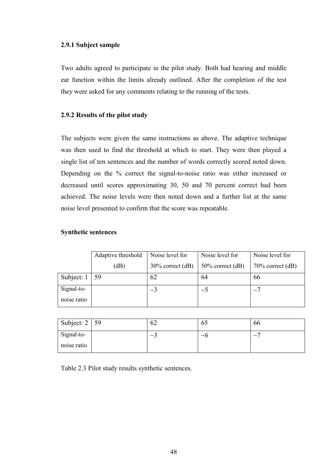## 2.9.1 Subject sample

Two adults agreed to participate in the pilot study. Both had hearing and middle ear function within the limits already outlined. After the completion of the test they were asked for any comments relating to the running of the tests.

## 2.9.2 Results of the pilot study

The subjects were given the same instructions as above. The adaptive technique was then used to find the threshold at which to start. They were then played a single list of ten sentences and the number of words correctly scored noted down. Depending on the % correct the signal-to-noise ratio was either increased or decreased until scores approximating 30, 50 and 70 percent correct had been achieved. The noise levels were then noted down and a further list at the same noise level presented to confirm that the score was repeatable.

## Synthetic sentences

|             | Adaptive threshold | Noise level for     | Noise level for     | Noise level for     |
|-------------|--------------------|---------------------|---------------------|---------------------|
|             | (dB)               | $30\%$ correct (dB) | $50\%$ correct (dB) | $70\%$ correct (dB) |
| Subject: 1  | 59                 | 62                  | 64                  | 66                  |
| Signal-to-  |                    | $-3$                | $-5$                |                     |
| noise ratio |                    |                     |                     |                     |

| Subject: $2 \mid 59$ | υ∠ | OJ. | 00 |
|----------------------|----|-----|----|
| Signal-to-           | -  | —   |    |
| noise ratio          |    |     |    |

Table 2.3 Pilot study results synthetic sentences.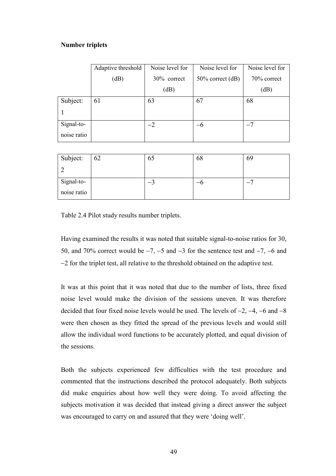## Number triplets

|             | Adaptive threshold | Noise level for | Noise level for     | Noise level for |
|-------------|--------------------|-----------------|---------------------|-----------------|
|             | (dB)               | 30% correct     | $50\%$ correct (dB) | 70% correct     |
|             |                    | (dB)            |                     | (dB)            |
| Subject:    | 61                 | 63              | 67                  | 68              |
|             |                    |                 |                     |                 |
| Signal-to-  |                    | $-2$            | $-6$                | $-7$            |
| noise ratio |                    |                 |                     |                 |

| Subject:    | 62 | 65 | 68 | OУ |
|-------------|----|----|----|----|
|             |    |    |    |    |
| Signal-to-  |    |    |    |    |
| noise ratio |    |    |    |    |

Table 2.4 Pilot study results number triplets.

Having examined the results it was noted that suitable signal-to-noise ratios for 30, 50, and 70% correct would be −7, −5 and −3 for the sentence test and −7, −6 and −2 for the triplet test, all relative to the threshold obtained on the adaptive test.

It was at this point that it was noted that due to the number of lists, three fixed noise level would make the division of the sessions uneven. It was therefore decided that four fixed noise levels would be used. The levels of −2, −4, −6 and −8 were then chosen as they fitted the spread of the previous levels and would still allow the individual word functions to be accurately plotted, and equal division of the sessions.

Both the subjects experienced few difficulties with the test procedure and commented that the instructions described the protocol adequately. Both subjects did make enquiries about how well they were doing. To avoid affecting the subjects motivation it was decided that instead giving a direct answer the subject was encouraged to carry on and assured that they were 'doing well'.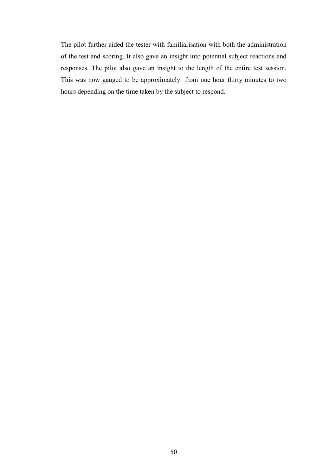The pilot further aided the tester with familiarisation with both the administration of the test and scoring. It also gave an insight into potential subject reactions and responses. The pilot also gave an insight to the length of the entire test session. This was now gauged to be approximately from one hour thirty minutes to two hours depending on the time taken by the subject to respond.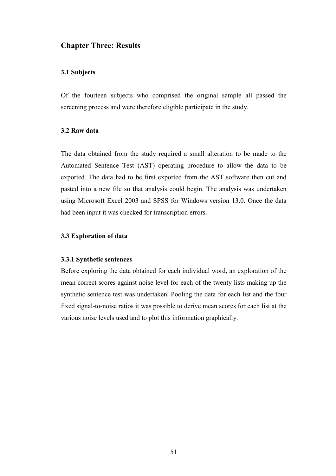## Chapter Three: Results

## 3.1 Subjects

Of the fourteen subjects who comprised the original sample all passed the screening process and were therefore eligible participate in the study.

## 3.2 Raw data

The data obtained from the study required a small alteration to be made to the Automated Sentence Test (AST) operating procedure to allow the data to be exported. The data had to be first exported from the AST software then cut and pasted into a new file so that analysis could begin. The analysis was undertaken using Microsoft Excel 2003 and SPSS for Windows version 13.0. Once the data had been input it was checked for transcription errors.

## 3.3 Exploration of data

### 3.3.1 Synthetic sentences

Before exploring the data obtained for each individual word, an exploration of the mean correct scores against noise level for each of the twenty lists making up the synthetic sentence test was undertaken. Pooling the data for each list and the four fixed signal-to-noise ratios it was possible to derive mean scores for each list at the various noise levels used and to plot this information graphically.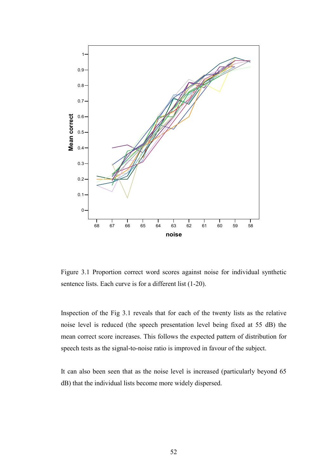

Figure 3.1 Proportion correct word scores against noise for individual synthetic sentence lists. Each curve is for a different list (1-20).

Inspection of the Fig 3.1 reveals that for each of the twenty lists as the relative noise level is reduced (the speech presentation level being fixed at 55 dB) the mean correct score increases. This follows the expected pattern of distribution for speech tests as the signal-to-noise ratio is improved in favour of the subject.

It can also been seen that as the noise level is increased (particularly beyond 65 dB) that the individual lists become more widely dispersed.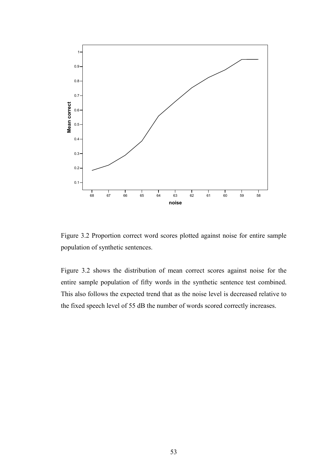

Figure 3.2 Proportion correct word scores plotted against noise for entire sample population of synthetic sentences.

Figure 3.2 shows the distribution of mean correct scores against noise for the entire sample population of fifty words in the synthetic sentence test combined. This also follows the expected trend that as the noise level is decreased relative to the fixed speech level of 55 dB the number of words scored correctly increases.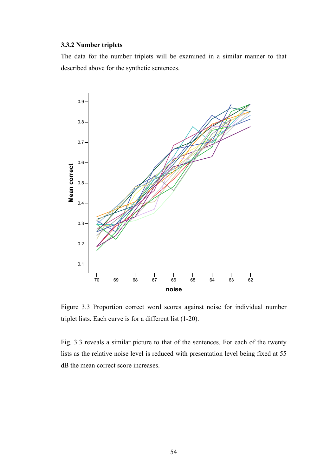## 3.3.2 Number triplets

The data for the number triplets will be examined in a similar manner to that described above for the synthetic sentences.



Figure 3.3 Proportion correct word scores against noise for individual number triplet lists. Each curve is for a different list (1-20).

Fig. 3.3 reveals a similar picture to that of the sentences. For each of the twenty lists as the relative noise level is reduced with presentation level being fixed at 55 dB the mean correct score increases.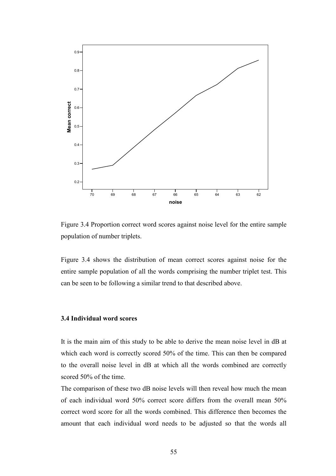

Figure 3.4 Proportion correct word scores against noise level for the entire sample population of number triplets.

Figure 3.4 shows the distribution of mean correct scores against noise for the entire sample population of all the words comprising the number triplet test. This can be seen to be following a similar trend to that described above.

## 3.4 Individual word scores

It is the main aim of this study to be able to derive the mean noise level in dB at which each word is correctly scored 50% of the time. This can then be compared to the overall noise level in dB at which all the words combined are correctly scored 50% of the time.

The comparison of these two dB noise levels will then reveal how much the mean of each individual word 50% correct score differs from the overall mean 50% correct word score for all the words combined. This difference then becomes the amount that each individual word needs to be adjusted so that the words all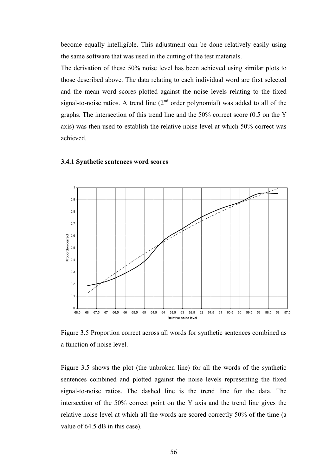become equally intelligible. This adjustment can be done relatively easily using the same software that was used in the cutting of the test materials.

The derivation of these 50% noise level has been achieved using similar plots to those described above. The data relating to each individual word are first selected and the mean word scores plotted against the noise levels relating to the fixed signal-to-noise ratios. A trend line  $(2<sup>nd</sup>$  order polynomial) was added to all of the graphs. The intersection of this trend line and the 50% correct score (0.5 on the Y axis) was then used to establish the relative noise level at which 50% correct was achieved.



## 3.4.1 Synthetic sentences word scores

Figure 3.5 Proportion correct across all words for synthetic sentences combined as a function of noise level.

Figure 3.5 shows the plot (the unbroken line) for all the words of the synthetic sentences combined and plotted against the noise levels representing the fixed signal-to-noise ratios. The dashed line is the trend line for the data. The intersection of the 50% correct point on the Y axis and the trend line gives the relative noise level at which all the words are scored correctly 50% of the time (a value of 64.5 dB in this case).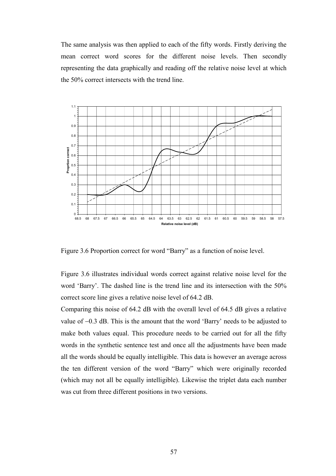The same analysis was then applied to each of the fifty words. Firstly deriving the mean correct word scores for the different noise levels. Then secondly representing the data graphically and reading off the relative noise level at which the 50% correct intersects with the trend line.



Figure 3.6 Proportion correct for word "Barry" as a function of noise level.

Figure 3.6 illustrates individual words correct against relative noise level for the word 'Barry'. The dashed line is the trend line and its intersection with the 50% correct score line gives a relative noise level of 64.2 dB.

Comparing this noise of 64.2 dB with the overall level of 64.5 dB gives a relative value of −0.3 dB. This is the amount that the word 'Barry' needs to be adjusted to make both values equal. This procedure needs to be carried out for all the fifty words in the synthetic sentence test and once all the adjustments have been made all the words should be equally intelligible. This data is however an average across the ten different version of the word "Barry" which were originally recorded (which may not all be equally intelligible). Likewise the triplet data each number was cut from three different positions in two versions.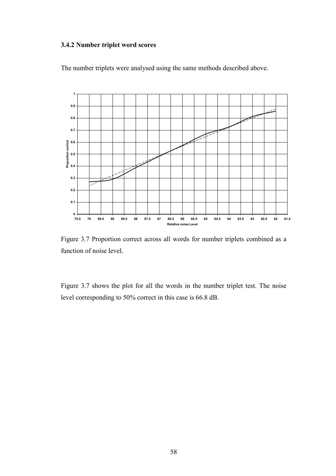## 3.4.2 Number triplet word scores





Figure 3.7 Proportion correct across all words for number triplets combined as a function of noise level.

Figure 3.7 shows the plot for all the words in the number triplet test. The noise level corresponding to 50% correct in this case is 66.8 dB.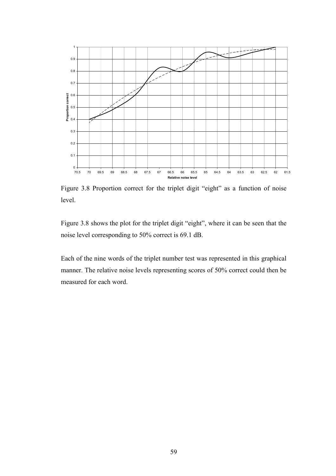

Figure 3.8 Proportion correct for the triplet digit "eight" as a function of noise level.

Figure 3.8 shows the plot for the triplet digit "eight", where it can be seen that the noise level corresponding to 50% correct is 69.1 dB.

Each of the nine words of the triplet number test was represented in this graphical manner. The relative noise levels representing scores of 50% correct could then be measured for each word.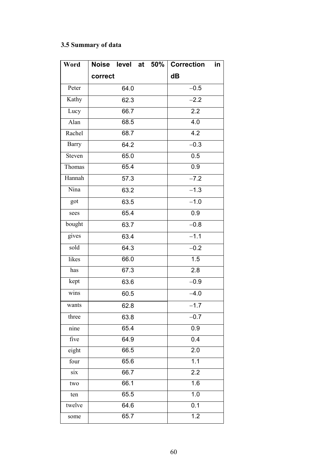# 3.5 Summary of data

| Word         | Noise level at |  | 50%              | <b>Correction</b> | in |
|--------------|----------------|--|------------------|-------------------|----|
|              | correct        |  |                  | dB                |    |
| Peter        | 64.0           |  |                  | $-0.5$            |    |
| Kathy        | 62.3           |  | $-2.2$           |                   |    |
| Lucy         | 66.7           |  |                  | $\overline{2.2}$  |    |
| Alan         | 68.5           |  |                  | $\overline{4.0}$  |    |
| Rachel       | 68.7           |  |                  | 4.2               |    |
| <b>Barry</b> | 64.2           |  |                  | $-0.3$            |    |
| Steven       | 65.0           |  |                  | 0.5               |    |
| Thomas       | 65.4           |  |                  | 0.9               |    |
| Hannah       | 57.3           |  |                  | $-7.2$            |    |
| Nina         | 63.2           |  |                  | $-1.3$            |    |
| got          | 63.5           |  |                  | $-1.0$            |    |
| sees         | 65.4           |  |                  | 0.9               |    |
| bought       | 63.7           |  |                  | $-0.8$            |    |
| gives        | 63.4           |  |                  | $-1.1$            |    |
| sold         | 64.3           |  |                  | $-0.2$            |    |
| likes        | 66.0           |  |                  | 1.5               |    |
| has          | 67.3           |  |                  | $\overline{2.8}$  |    |
| kept         | 63.6           |  |                  | $-0.9$            |    |
| wins         | 60.5           |  |                  | $-4.0$            |    |
| wants        | 62.8           |  |                  | $-1.7$            |    |
| three        | 63.8           |  |                  | $-0.7$            |    |
| nine         | 65.4           |  |                  | 0.9               |    |
| five         | 64.9           |  |                  | 0.4               |    |
| eight        | 66.5           |  | 2.0              |                   |    |
| four         | 65.6           |  | $\overline{1.1}$ |                   |    |
| six          | 66.7           |  |                  | 2.2               |    |
| two          | 66.1           |  | 1.6              |                   |    |
| ten          | 65.5           |  | 1.0              |                   |    |
| twelve       | 64.6           |  |                  | $\overline{0.1}$  |    |
| some         | 65.7           |  | 1.2              |                   |    |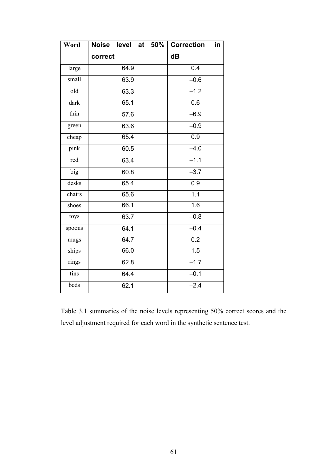| Word   | Noise level at 50% | <b>Correction</b><br>in |
|--------|--------------------|-------------------------|
|        | correct            | dB                      |
| large  | 64.9               | 0.4                     |
| small  | 63.9               | $-0.6$                  |
| old    | 63.3               | $-1.2$                  |
| dark   | 65.1               | 0.6                     |
| thin   | 57.6               | $-6.9$                  |
| green  | 63.6               | $-0.9$                  |
| cheap  | 65.4               | $\overline{0.9}$        |
| pink   | 60.5               | $-4.0$                  |
| red    | 63.4               | $-1.1$                  |
| big    | 60.8               | $-3.7$                  |
| desks  | 65.4               | $\overline{0.9}$        |
| chairs | 65.6               | 1.1                     |
| shoes  | 66.1               | 1.6                     |
| toys   | 63.7               | $-0.8$                  |
| spoons | 64.1               | $-0.4$                  |
| mugs   | 64.7               | 0.2                     |
| ships  | 66.0               | 1.5                     |
| rings  | 62.8               | $-1.7$                  |
| tins   | 64.4               | $\overline{-0.1}$       |
| beds   | 62.1               | $-2.4$                  |

Table 3.1 summaries of the noise levels representing 50% correct scores and the level adjustment required for each word in the synthetic sentence test.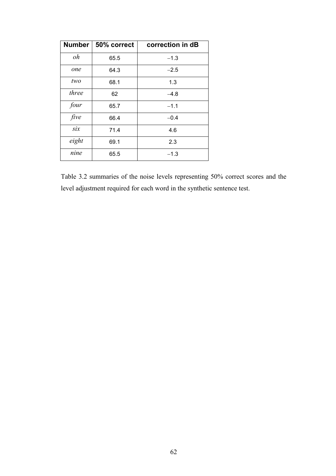| Number | 50% correct | correction in dB |
|--------|-------------|------------------|
| oh     | 65.5        | $-1.3$           |
| one    | 64.3        | $-2.5$           |
| two    | 68.1        | 1.3              |
| three  | 62          | $-4.8$           |
| four   | 65.7        | $-1.1$           |
| five   | 66.4        | $-0.4$           |
| six    | 71.4        | 4.6              |
| eight  | 69.1        | 2.3              |
| nine   | 65.5        | $-1.3$           |

Table 3.2 summaries of the noise levels representing 50% correct scores and the level adjustment required for each word in the synthetic sentence test.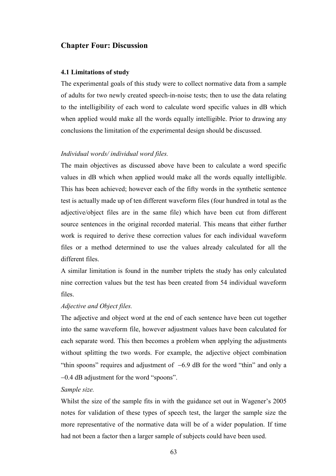## Chapter Four: Discussion

### 4.1 Limitations of study

The experimental goals of this study were to collect normative data from a sample of adults for two newly created speech-in-noise tests; then to use the data relating to the intelligibility of each word to calculate word specific values in dB which when applied would make all the words equally intelligible. Prior to drawing any conclusions the limitation of the experimental design should be discussed.

## Individual words/ individual word files.

The main objectives as discussed above have been to calculate a word specific values in dB which when applied would make all the words equally intelligible. This has been achieved; however each of the fifty words in the synthetic sentence test is actually made up of ten different waveform files (four hundred in total as the adjective/object files are in the same file) which have been cut from different source sentences in the original recorded material. This means that either further work is required to derive these correction values for each individual waveform files or a method determined to use the values already calculated for all the different files.

A similar limitation is found in the number triplets the study has only calculated nine correction values but the test has been created from 54 individual waveform files.

## Adjective and Object files.

The adjective and object word at the end of each sentence have been cut together into the same waveform file, however adjustment values have been calculated for each separate word. This then becomes a problem when applying the adjustments without splitting the two words. For example, the adjective object combination "thin spoons" requires and adjustment of −6.9 dB for the word "thin" and only a −0.4 dB adjustment for the word "spoons".

### Sample size.

Whilst the size of the sample fits in with the guidance set out in Wagener's 2005 notes for validation of these types of speech test, the larger the sample size the more representative of the normative data will be of a wider population. If time had not been a factor then a larger sample of subjects could have been used.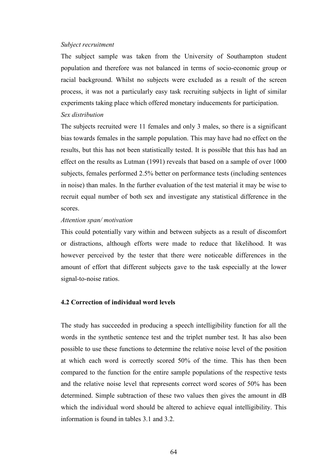#### Subject recruitment

The subject sample was taken from the University of Southampton student population and therefore was not balanced in terms of socio-economic group or racial background. Whilst no subjects were excluded as a result of the screen process, it was not a particularly easy task recruiting subjects in light of similar experiments taking place which offered monetary inducements for participation. Sex distribution

The subjects recruited were 11 females and only 3 males, so there is a significant bias towards females in the sample population. This may have had no effect on the results, but this has not been statistically tested. It is possible that this has had an effect on the results as Lutman (1991) reveals that based on a sample of over 1000 subjects, females performed 2.5% better on performance tests (including sentences in noise) than males. In the further evaluation of the test material it may be wise to recruit equal number of both sex and investigate any statistical difference in the scores.

### Attention span/ motivation

This could potentially vary within and between subjects as a result of discomfort or distractions, although efforts were made to reduce that likelihood. It was however perceived by the tester that there were noticeable differences in the amount of effort that different subjects gave to the task especially at the lower signal-to-noise ratios.

## 4.2 Correction of individual word levels

The study has succeeded in producing a speech intelligibility function for all the words in the synthetic sentence test and the triplet number test. It has also been possible to use these functions to determine the relative noise level of the position at which each word is correctly scored 50% of the time. This has then been compared to the function for the entire sample populations of the respective tests and the relative noise level that represents correct word scores of 50% has been determined. Simple subtraction of these two values then gives the amount in dB which the individual word should be altered to achieve equal intelligibility. This information is found in tables 3.1 and 3.2.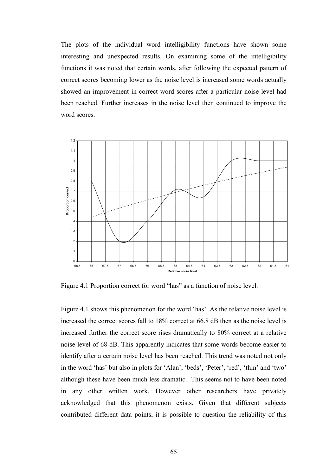The plots of the individual word intelligibility functions have shown some interesting and unexpected results. On examining some of the intelligibility functions it was noted that certain words, after following the expected pattern of correct scores becoming lower as the noise level is increased some words actually showed an improvement in correct word scores after a particular noise level had been reached. Further increases in the noise level then continued to improve the word scores.



Figure 4.1 Proportion correct for word "has" as a function of noise level.

Figure 4.1 shows this phenomenon for the word 'has'. As the relative noise level is increased the correct scores fall to 18% correct at 66.8 dB then as the noise level is increased further the correct score rises dramatically to 80% correct at a relative noise level of 68 dB. This apparently indicates that some words become easier to identify after a certain noise level has been reached. This trend was noted not only in the word 'has' but also in plots for 'Alan', 'beds', 'Peter', 'red', 'thin' and 'two' although these have been much less dramatic. This seems not to have been noted in any other written work. However other researchers have privately acknowledged that this phenomenon exists. Given that different subjects contributed different data points, it is possible to question the reliability of this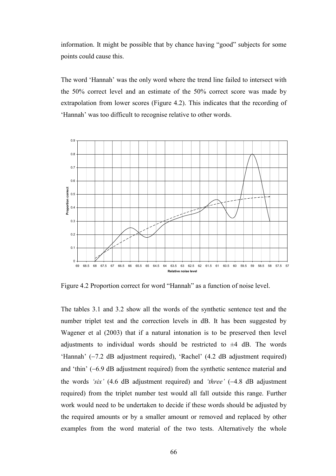information. It might be possible that by chance having "good" subjects for some points could cause this.

The word 'Hannah' was the only word where the trend line failed to intersect with the 50% correct level and an estimate of the 50% correct score was made by extrapolation from lower scores (Figure 4.2). This indicates that the recording of 'Hannah' was too difficult to recognise relative to other words.



Figure 4.2 Proportion correct for word "Hannah" as a function of noise level.

The tables 3.1 and 3.2 show all the words of the synthetic sentence test and the number triplet test and the correction levels in dB. It has been suggested by Wagener et al (2003) that if a natural intonation is to be preserved then level adjustments to individual words should be restricted to  $\pm 4$  dB. The words 'Hannah' (−7.2 dB adjustment required), 'Rachel' (4.2 dB adjustment required) and 'thin' (−6.9 dB adjustment required) from the synthetic sentence material and the words 'six' (4.6 dB adjustment required) and 'three' (−4.8 dB adjustment required) from the triplet number test would all fall outside this range. Further work would need to be undertaken to decide if these words should be adjusted by the required amounts or by a smaller amount or removed and replaced by other examples from the word material of the two tests. Alternatively the whole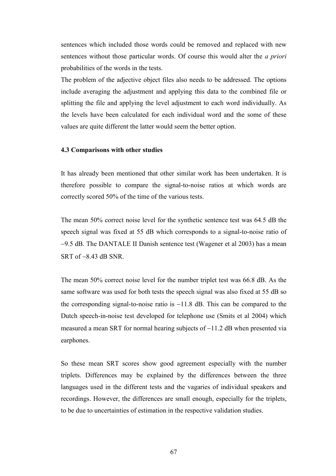sentences which included those words could be removed and replaced with new sentences without those particular words. Of course this would alter the a priori probabilities of the words in the tests.

The problem of the adjective object files also needs to be addressed. The options include averaging the adjustment and applying this data to the combined file or splitting the file and applying the level adjustment to each word individually. As the levels have been calculated for each individual word and the some of these values are quite different the latter would seem the better option.

### 4.3 Comparisons with other studies

It has already been mentioned that other similar work has been undertaken. It is therefore possible to compare the signal-to-noise ratios at which words are correctly scored 50% of the time of the various tests.

The mean 50% correct noise level for the synthetic sentence test was 64.5 dB the speech signal was fixed at 55 dB which corresponds to a signal-to-noise ratio of −9.5 dB. The DANTALE II Danish sentence test (Wagener et al 2003) has a mean SRT of −8.43 dB SNR.

The mean 50% correct noise level for the number triplet test was 66.8 dB. As the same software was used for both tests the speech signal was also fixed at 55 dB so the corresponding signal-to-noise ratio is −11.8 dB. This can be compared to the Dutch speech-in-noise test developed for telephone use (Smits et al 2004) which measured a mean SRT for normal hearing subjects of −11.2 dB when presented via earphones.

So these mean SRT scores show good agreement especially with the number triplets. Differences may be explained by the differences between the three languages used in the different tests and the vagaries of individual speakers and recordings. However, the differences are small enough, especially for the triplets, to be due to uncertainties of estimation in the respective validation studies.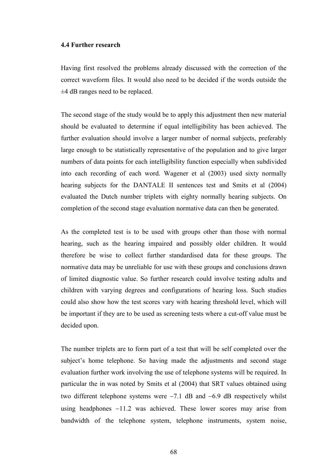### 4.4 Further research

Having first resolved the problems already discussed with the correction of the correct waveform files. It would also need to be decided if the words outside the ±4 dB ranges need to be replaced.

The second stage of the study would be to apply this adjustment then new material should be evaluated to determine if equal intelligibility has been achieved. The further evaluation should involve a larger number of normal subjects, preferably large enough to be statistically representative of the population and to give larger numbers of data points for each intelligibility function especially when subdivided into each recording of each word. Wagener et al (2003) used sixty normally hearing subjects for the DANTALE II sentences test and Smits et al (2004) evaluated the Dutch number triplets with eighty normally hearing subjects. On completion of the second stage evaluation normative data can then be generated.

As the completed test is to be used with groups other than those with normal hearing, such as the hearing impaired and possibly older children. It would therefore be wise to collect further standardised data for these groups. The normative data may be unreliable for use with these groups and conclusions drawn of limited diagnostic value. So further research could involve testing adults and children with varying degrees and configurations of hearing loss. Such studies could also show how the test scores vary with hearing threshold level, which will be important if they are to be used as screening tests where a cut-off value must be decided upon.

The number triplets are to form part of a test that will be self completed over the subject's home telephone. So having made the adjustments and second stage evaluation further work involving the use of telephone systems will be required. In particular the in was noted by Smits et al (2004) that SRT values obtained using two different telephone systems were −7.1 dB and −6.9 dB respectively whilst using headphones −11.2 was achieved. These lower scores may arise from bandwidth of the telephone system, telephone instruments, system noise,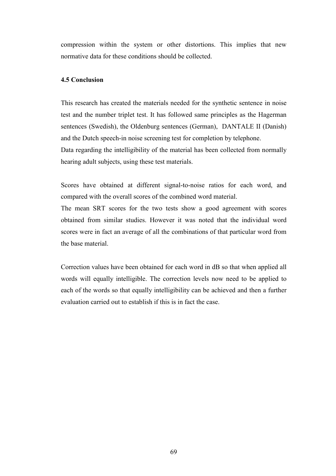compression within the system or other distortions. This implies that new normative data for these conditions should be collected.

## 4.5 Conclusion

This research has created the materials needed for the synthetic sentence in noise test and the number triplet test. It has followed same principles as the Hagerman sentences (Swedish), the Oldenburg sentences (German), DANTALE II (Danish) and the Dutch speech-in noise screening test for completion by telephone. Data regarding the intelligibility of the material has been collected from normally hearing adult subjects, using these test materials.

Scores have obtained at different signal-to-noise ratios for each word, and compared with the overall scores of the combined word material.

The mean SRT scores for the two tests show a good agreement with scores obtained from similar studies. However it was noted that the individual word scores were in fact an average of all the combinations of that particular word from the base material.

Correction values have been obtained for each word in dB so that when applied all words will equally intelligible. The correction levels now need to be applied to each of the words so that equally intelligibility can be achieved and then a further evaluation carried out to establish if this is in fact the case.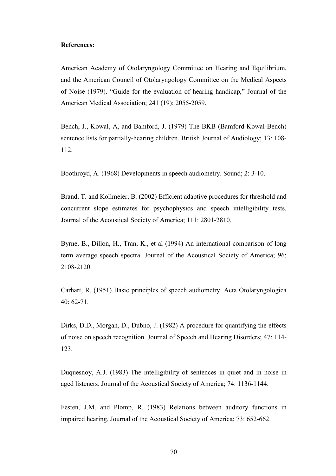### References:

American Academy of Otolaryngology Committee on Hearing and Equilibrium, and the American Council of Otolaryngology Committee on the Medical Aspects of Noise (1979). "Guide for the evaluation of hearing handicap," Journal of the American Medical Association; 241 (19): 2055-2059.

Bench, J., Kowal, A, and Bamford, J. (1979) The BKB (Bamford-Kowal-Bench) sentence lists for partially-hearing children. British Journal of Audiology; 13: 108- 112.

Boothroyd, A. (1968) Developments in speech audiometry. Sound; 2: 3-10.

Brand, T. and Kollmeier, B. (2002) Efficient adaptive procedures for threshold and concurrent slope estimates for psychophysics and speech intelligibility tests. Journal of the Acoustical Society of America; 111: 2801-2810.

Byrne, B., Dillon, H., Tran, K., et al (1994) An international comparison of long term average speech spectra. Journal of the Acoustical Society of America; 96: 2108-2120.

Carhart, R. (1951) Basic principles of speech audiometry. Acta Otolaryngologica 40: 62-71.

Dirks, D.D., Morgan, D., Dubno, J. (1982) A procedure for quantifying the effects of noise on speech recognition. Journal of Speech and Hearing Disorders; 47: 114- 123.

Duquesnoy, A.J. (1983) The intelligibility of sentences in quiet and in noise in aged listeners. Journal of the Acoustical Society of America; 74: 1136-1144.

Festen, J.M. and Plomp, R. (1983) Relations between auditory functions in impaired hearing. Journal of the Acoustical Society of America; 73: 652-662.

70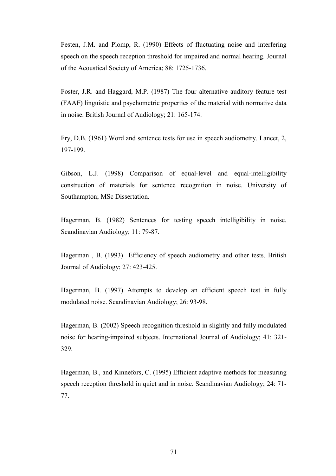Festen, J.M. and Plomp, R. (1990) Effects of fluctuating noise and interfering speech on the speech reception threshold for impaired and normal hearing. Journal of the Acoustical Society of America; 88: 1725-1736.

Foster, J.R. and Haggard, M.P. (1987) The four alternative auditory feature test (FAAF) linguistic and psychometric properties of the material with normative data in noise. British Journal of Audiology; 21: 165-174.

Fry, D.B. (1961) Word and sentence tests for use in speech audiometry. Lancet, 2, 197-199.

Gibson, L.J. (1998) Comparison of equal-level and equal-intelligibility construction of materials for sentence recognition in noise. University of Southampton; MSc Dissertation.

Hagerman, B. (1982) Sentences for testing speech intelligibility in noise. Scandinavian Audiology; 11: 79-87.

Hagerman , B. (1993) Efficiency of speech audiometry and other tests. British Journal of Audiology; 27: 423-425.

Hagerman, B. (1997) Attempts to develop an efficient speech test in fully modulated noise. Scandinavian Audiology; 26: 93-98.

Hagerman, B. (2002) Speech recognition threshold in slightly and fully modulated noise for hearing-impaired subjects. International Journal of Audiology; 41: 321- 329.

Hagerman, B., and Kinnefors, C. (1995) Efficient adaptive methods for measuring speech reception threshold in quiet and in noise. Scandinavian Audiology; 24: 71- 77.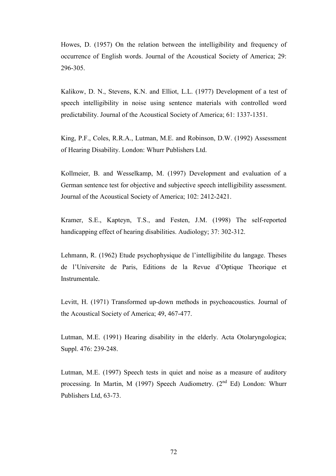Howes, D. (1957) On the relation between the intelligibility and frequency of occurrence of English words. Journal of the Acoustical Society of America; 29: 296-305.

Kalikow, D. N., Stevens, K.N. and Elliot, L.L. (1977) Development of a test of speech intelligibility in noise using sentence materials with controlled word predictability. Journal of the Acoustical Society of America; 61: 1337-1351.

King, P.F., Coles, R.R.A., Lutman, M.E. and Robinson, D.W. (1992) Assessment of Hearing Disability. London: Whurr Publishers Ltd.

Kollmeier, B. and Wesselkamp, M. (1997) Development and evaluation of a German sentence test for objective and subjective speech intelligibility assessment. Journal of the Acoustical Society of America; 102: 2412-2421.

Kramer, S.E., Kapteyn, T.S., and Festen, J.M. (1998) The self-reported handicapping effect of hearing disabilities. Audiology; 37: 302-312.

Lehmann, R. (1962) Etude psychophysique de l'intelligibilite du langage. Theses de l'Universite de Paris, Editions de la Revue d'Optique Theorique et Instrumentale.

Levitt, H. (1971) Transformed up-down methods in psychoacoustics. Journal of the Acoustical Society of America; 49, 467-477.

Lutman, M.E. (1991) Hearing disability in the elderly. Acta Otolaryngologica; Suppl. 476: 239-248.

Lutman, M.E. (1997) Speech tests in quiet and noise as a measure of auditory processing. In Martin, M (1997) Speech Audiometry. (2<sup>nd</sup> Ed) London: Whurr Publishers Ltd, 63-73.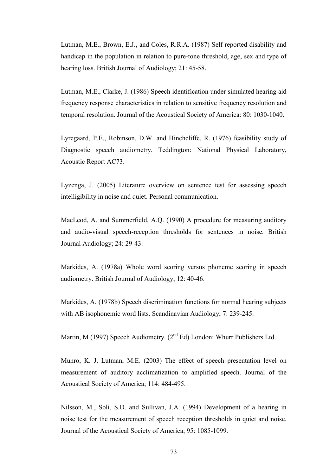Lutman, M.E., Brown, E.J., and Coles, R.R.A. (1987) Self reported disability and handicap in the population in relation to pure-tone threshold, age, sex and type of hearing loss. British Journal of Audiology; 21: 45-58.

Lutman, M.E., Clarke, J. (1986) Speech identification under simulated hearing aid frequency response characteristics in relation to sensitive frequency resolution and temporal resolution. Journal of the Acoustical Society of America: 80: 1030-1040.

Lyregaard, P.E., Robinson, D.W. and Hinchcliffe, R. (1976) feasibility study of Diagnostic speech audiometry. Teddington: National Physical Laboratory, Acoustic Report AC73.

Lyzenga, J. (2005) Literature overview on sentence test for assessing speech intelligibility in noise and quiet. Personal communication.

MacLeod, A. and Summerfield, A.Q. (1990) A procedure for measuring auditory and audio-visual speech-reception thresholds for sentences in noise. British Journal Audiology; 24: 29-43.

Markides, A. (1978a) Whole word scoring versus phoneme scoring in speech audiometry. British Journal of Audiology; 12: 40-46.

Markides, A. (1978b) Speech discrimination functions for normal hearing subjects with AB isophonemic word lists. Scandinavian Audiology; 7: 239-245.

Martin, M (1997) Speech Audiometry.  $(2<sup>nd</sup> Ed)$  London: Whurr Publishers Ltd.

Munro, K. J. Lutman, M.E. (2003) The effect of speech presentation level on measurement of auditory acclimatization to amplified speech. Journal of the Acoustical Society of America; 114: 484-495.

Nilsson, M., Soli, S.D. and Sullivan, J.A. (1994) Development of a hearing in noise test for the measurement of speech reception thresholds in quiet and noise. Journal of the Acoustical Society of America; 95: 1085-1099.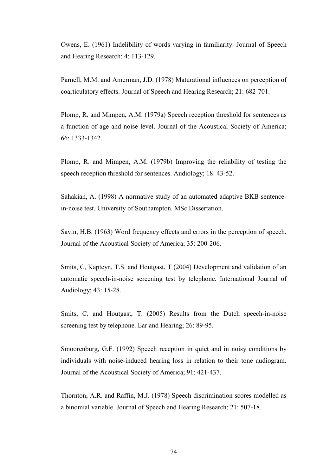Owens, E. (1961) Indelibility of words varying in familiarity. Journal of Speech and Hearing Research; 4: 113-129.

Parnell, M.M. and Amerman, J.D. (1978) Maturational influences on perception of coarticulatory effects. Journal of Speech and Hearing Research; 21: 682-701.

Plomp, R. and Mimpen, A.M. (1979a) Speech reception threshold for sentences as a function of age and noise level. Journal of the Acoustical Society of America; 66: 1333-1342.

Plomp, R. and Mimpen, A.M. (1979b) Improving the reliability of testing the speech reception threshold for sentences. Audiology; 18: 43-52.

Sahakian, A. (1998) A normative study of an automated adaptive BKB sentencein-noise test. University of Southampton. MSc Dissertation.

Savin, H.B. (1963) Word frequency effects and errors in the perception of speech. Journal of the Acoustical Society of America; 35: 200-206.

Smits, C, Kapteyn, T.S. and Houtgast, T (2004) Development and validation of an automatic speech-in-noise screening test by telephone. International Journal of Audiology; 43: 15-28.

Smits, C. and Houtgast, T. (2005) Results from the Dutch speech-in-noise screening test by telephone. Ear and Hearing; 26: 89-95.

Smoorenburg, G.F. (1992) Speech reception in quiet and in noisy conditions by individuals with noise-induced hearing loss in relation to their tone audiogram. Journal of the Acoustical Society of America; 91: 421-437.

Thornton, A.R. and Raffin, M.J. (1978) Speech-discrimination scores modelled as a binomial variable. Journal of Speech and Hearing Research; 21: 507-18.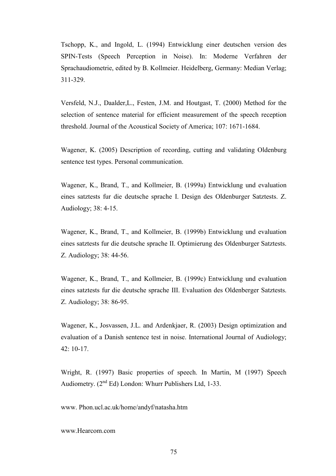Tschopp, K., and Ingold, L. (1994) Entwicklung einer deutschen version des SPIN-Tests (Speech Perception in Noise). In: Moderne Verfahren der Sprachaudiometrie, edited by B. Kollmeier. Heidelberg, Germany: Median Verlag; 311-329.

Versfeld, N.J., Daalder,L., Festen, J.M. and Houtgast, T. (2000) Method for the selection of sentence material for efficient measurement of the speech reception threshold. Journal of the Acoustical Society of America; 107: 1671-1684.

Wagener, K. (2005) Description of recording, cutting and validating Oldenburg sentence test types. Personal communication.

Wagener, K., Brand, T., and Kollmeier, B. (1999a) Entwicklung und evaluation eines satztests fur die deutsche sprache I. Design des Oldenburger Satztests. Z. Audiology; 38: 4-15.

Wagener, K., Brand, T., and Kollmeier, B. (1999b) Entwicklung und evaluation eines satztests fur die deutsche sprache II. Optimierung des Oldenburger Satztests. Z. Audiology; 38: 44-56.

Wagener, K., Brand, T., and Kollmeier, B. (1999c) Entwicklung und evaluation eines satztests fur die deutsche sprache III. Evaluation des Oldenberger Satztests. Z. Audiology; 38: 86-95.

Wagener, K., Josvassen, J.L. and Ardenkjaer, R. (2003) Design optimization and evaluation of a Danish sentence test in noise. International Journal of Audiology; 42: 10-17.

Wright, R. (1997) Basic properties of speech. In Martin, M (1997) Speech Audiometry.  $(2^{nd} Ed)$  London: Whurr Publishers Ltd, 1-33.

www. Phon.ucl.ac.uk/home/andyf/natasha.htm

www.Hearcom.com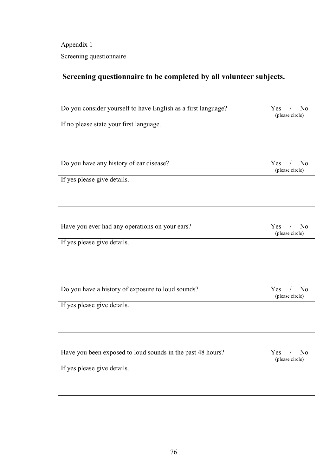Appendix 1 Screening questionnaire

## Screening questionnaire to be completed by all volunteer subjects.

| Do you consider yourself to have English as a first language? | N <sub>0</sub><br>Yes<br>(please circle) |
|---------------------------------------------------------------|------------------------------------------|
| If no please state your first language.                       |                                          |
|                                                               |                                          |
|                                                               |                                          |
| Do you have any history of ear disease?                       | Yes<br>N <sub>0</sub><br>(please circle) |
| If yes please give details.                                   |                                          |
|                                                               |                                          |
|                                                               |                                          |
|                                                               |                                          |
| Have you ever had any operations on your ears?                | Yes<br>N <sub>0</sub><br>(please circle) |
| If yes please give details.                                   |                                          |
|                                                               |                                          |
|                                                               |                                          |
|                                                               |                                          |
| Do you have a history of exposure to loud sounds?             | No<br>Yes<br>(please circle)             |
| If yes please give details.                                   |                                          |
|                                                               |                                          |
|                                                               |                                          |
|                                                               |                                          |

| Have you been exposed to loud sounds in the past 48 hours? | $Yes$ /<br>-No<br>(please circle) |
|------------------------------------------------------------|-----------------------------------|
| If yes please give details.                                |                                   |